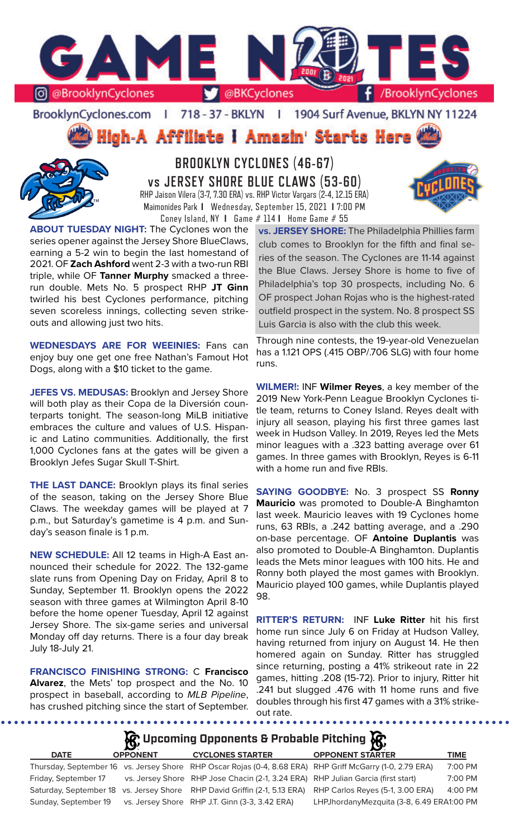

BrooklynCyclones.com | 718 - 37 - BKLYN | 1904 Surf Avenue, BKLYN NY 11224

**High-A Affiliate I Amazin' Starts Here** 



**BROOKLYN CYCLONES (46-67) vs JERSEY SHORE BLUE CLAWS (53-60)** RHP Jaison Vilera (3-7, 7.30 ERA) vs. RHP Victor Vargars (2-4, 12.15 ERA) Maimonides Park **I** Wednesday, September 15, 2021 **I** 7:00 PM Coney Island, NY **I** Game # 114 **I** Home Game # 55

**ABOUT TUESDAY NIGHT:** The Cyclones won the series opener against the Jersey Shore BlueClaws, earning a 5-2 win to begin the last homestand of 2021. OF **Zach Ashford** went 2-3 with a two-run RBI triple, while OF **Tanner Murphy** smacked a threerun double. Mets No. 5 prospect RHP **JT Ginn**  twirled his best Cyclones performance, pitching seven scoreless innings, collecting seven strikeouts and allowing just two hits.

**WEDNESDAYS ARE FOR WEEINIES:** Fans can enjoy buy one get one free Nathan's Famout Hot Dogs, along with a \$10 ticket to the game.

**JEFES VS. MEDUSAS:** Brooklyn and Jersey Shore will both play as their Copa de la Diversión counterparts tonight. The season-long MiLB initiative embraces the culture and values of U.S. Hispanic and Latino communities. Additionally, the first 1,000 Cyclones fans at the gates will be given a Brooklyn Jefes Sugar Skull T-Shirt.

**THE LAST DANCE:** Brooklyn plays its final series of the season, taking on the Jersey Shore Blue Claws. The weekday games will be played at 7 p.m., but Saturday's gametime is 4 p.m. and Sunday's season finale is 1 p.m.

**NEW SCHEDULE:** All 12 teams in High-A East announced their schedule for 2022. The 132-game slate runs from Opening Day on Friday, April 8 to Sunday, September 11. Brooklyn opens the 2022 season with three games at Wilmington April 8-10 before the home opener Tuesday, April 12 against Jersey Shore. The six-game series and universal Monday off day returns. There is a four day break July 18-July 21.

**FRANCISCO FINISHING STRONG:** C **Francisco Alvarez**, the Mets' top prospect and the No. 10 prospect in baseball, according to *MLB Pipeline*, has crushed pitching since the start of September.

. . . . . . . . . . . . .

**vs. JERSEY SHORE:** The Philadelphia Phillies farm club comes to Brooklyn for the fifth and final series of the season. The Cyclones are 11-14 against the Blue Claws. Jersey Shore is home to five of Philadelphia's top 30 prospects, including No. 6 OF prospect Johan Rojas who is the highest-rated outfield prospect in the system. No. 8 prospect SS Luis Garcia is also with the club this week.

Through nine contests, the 19-year-old Venezuelan has a 1.121 OPS (.415 OBP/.706 SLG) with four home runs.

**WILMER!:** INF **Wilmer Reyes**, a key member of the 2019 New York-Penn League Brooklyn Cyclones title team, returns to Coney Island. Reyes dealt with injury all season, playing his first three games last week in Hudson Valley. In 2019, Reyes led the Mets minor leagues with a .323 batting average over 61 games. In three games with Brooklyn, Reyes is 6-11 with a home run and five RBIs.

**SAYING GOODBYE:** No. 3 prospect SS **Ronny Mauricio** was promoted to Double-A Binghamton last week. Mauricio leaves with 19 Cyclones home runs, 63 RBIs, a .242 batting average, and a .290 on-base percentage. OF **Antoine Duplantis** was also promoted to Double-A Binghamton. Duplantis leads the Mets minor leagues with 100 hits. He and Ronny both played the most games with Brooklyn. Mauricio played 100 games, while Duplantis played 98.

**RITTER'S RETURN:** INF **Luke Ritter** hit his first home run since July 6 on Friday at Hudson Valley, having returned from injury on August 14. He then homered again on Sunday. Ritter has struggled since returning, posting a 41% strikeout rate in 22 games, hitting .208 (15-72). Prior to injury, Ritter hit .241 but slugged .476 with 11 home runs and five doubles through his first 47 games with a 31% strikeout rate.<br>•••••••••••••••••••••

. . . . . . . . . . . . . . . . . .

**A** Upcoming Opponents & Probable Pitching **A** 

| <b>DATE</b>          | <b>OPPONENT</b> | <b>CYCLONES STARTER</b>                                                          | <b>OPPONENT STARTER</b>                                                                                    | <b>TIME</b> |
|----------------------|-----------------|----------------------------------------------------------------------------------|------------------------------------------------------------------------------------------------------------|-------------|
|                      |                 |                                                                                  | Thursday, September 16 vs. Jersey Shore RHP Oscar Rojas (0-4, 8.68 ERA) RHP Griff McGarry (1-0, 2.79 ERA)  | 7:00 PM     |
| Friday, September 17 |                 | vs. Jersey Shore RHP Jose Chacin (2-1, 3.24 ERA) RHP Julian Garcia (first start) |                                                                                                            | 7:00 PM     |
|                      |                 |                                                                                  | Saturday, September 18 vs. Jersey Shore RHP David Griffin (2-1, 5.13 ERA) RHP Carlos Reyes (5-1, 3.00 ERA) | $4:00$ PM   |
| Sunday, September 19 |                 | vs. Jersey Shore RHP J.T. Ginn (3-3, 3.42 ERA)                                   | LHPJhordanyMezquita (3-8, 6.49 ERA1:00 PM                                                                  |             |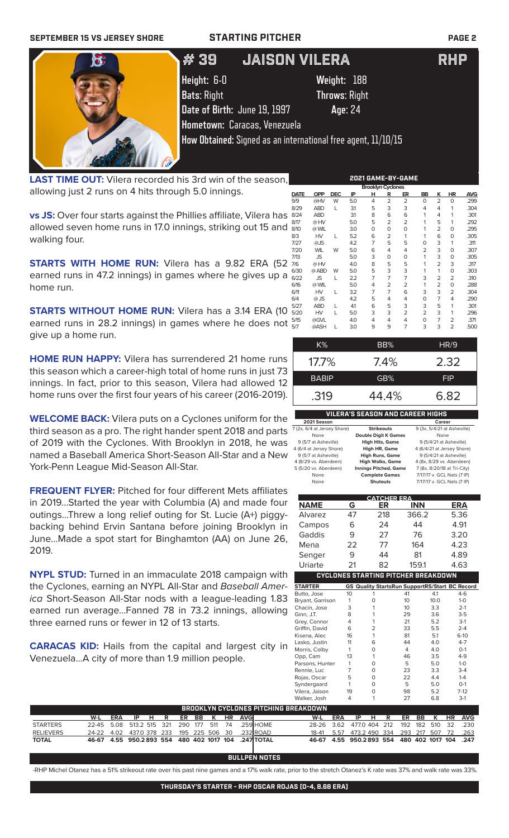## **SEPTEMBER 15 VS JERSEY SHORE STARTING PITCHER PAGE 2**



# # 25 # 23 JOSE CARLOS MEDINA JOSE BUTTO LHP RHP # 39 JAISON VILERA RHP

**Height:** 6-0 **Weight:** 188

**Bats**: Right **Throws**: Right **Date of Birth:** June 19, 1997 **Age**: 24

**Hometown:** Caracas, Venezuela **How Obtained:** Signed as an international free agent, 11/10/15

**LAST TIME OUT:** Vilera recorded his 3rd win of the season, allowing just 2 runs on 4 hits through 5.0 innings.

**vs JS:** Over four starts against the Phillies affiliate, Vilera has  $\frac{8}{3}$ allowed seven home runs in 17.0 innings, striking out 15 and walking four.

**STARTS WITH HOME RUN:** Vilera has a 9.82 ERA (52 earned runs in 47.2 innings) in games where he gives up a home run.

**STARTS WITHOUT HOME RUN:** Vilera has a 3.14 ERA (10  $\frac{8}{5}$ ) earned runs in 28.2 innings) in games where he does not give up a home run.

**HOME RUN HAPPY:** Vilera has surrendered 21 home runs this season which a career-high total of home runs in just 73 innings. In fact, prior to this season, Vilera had allowed 12 home runs over the first four years of his career (2016-2019).

**WELCOME BACK:** Vilera puts on a Cyclones uniform for the third season as a pro. The right hander spent 2018 and parts of 2019 with the Cyclones. With Brooklyn in 2018, he was named a Baseball America Short-Season All-Star and a New York-Penn League Mid-Season All-Star.

**FREQUENT FLYER:** Pitched for four different Mets affiliates in 2019...Started the year with Columbia (A) and made four outings...Threw a long relief outing for St. Lucie (A+) piggybacking behind Ervin Santana before joining Brooklyn in June...Made a spot start for Binghamton (AA) on June 26, 2019.

**NYPL STUD:** Turned in an immaculate 2018 campaign with the Cyclones, earning an NYPL All-Star and *Baseball America* Short-Season All-Star nods with a league-leading 1.83 earned run average...Fanned 78 in 73.2 innings, allow three earned runs or fewer in 12 of 13 starts.

**CARACAS KID:** Hails from the capital and largest cit Venezuela...A city of more than 1.9 million people.

| <b>Brooklyn Cyclones</b> |            |            |     |   |                |                |                |                |                |            |  |
|--------------------------|------------|------------|-----|---|----------------|----------------|----------------|----------------|----------------|------------|--|
| <b>DATE</b>              | <b>OPP</b> | <b>DEC</b> | IP  | н | R              | ER             | BB             | κ              | HR             | <b>AVG</b> |  |
| 9/9                      | @HV        | W          | 5.0 | 4 | $\overline{2}$ | $\overline{2}$ | $\Omega$       | $\overline{2}$ | $\mathbf 0$    | .299       |  |
| 8/29                     | <b>ABD</b> | L          | 3.1 | 5 | 3              | 3              | 4              | 4              | 1              | .304       |  |
| 8/24                     | <b>ABD</b> |            | 31  | 8 | 6              | 6              | 1              | 4              | 1              | .301       |  |
| 8/17                     | @HV        |            | 5.0 | 5 | 2              | 2              | 1              | 5              | 1              | .292       |  |
| 8/10                     | @ WIL      |            | 3.0 | 0 | 0              | O              | 1              | 2              | 0              | .295       |  |
| 8/3                      | HV         | L          | 5.2 | 6 | 2              | 1              | 1              | 6              | $\mathbf 0$    | .305       |  |
| 7/27                     | @JS        |            | 4.2 | 7 | 5              | 5              | 0              | 3              | 1              | .311       |  |
| 7/20                     | <b>WIL</b> | W          | 5.0 | 6 | 4              | 4              | $\overline{2}$ | 3              | $\mathbf 0$    | .307       |  |
| 7/13                     | JS         |            | 5.0 | 3 | 0              | O              | 1              | 3              | $\mathbf 0$    | .305       |  |
| 7/6                      | @HV        |            | 4.0 | 8 | 5              | 5              | 1              | 2              | 3              | .317       |  |
| 6/30                     | @ ABD      | W          | 5.0 | 5 | 3              | 3              | 1              | 1              | $\mathbf 0$    | .303       |  |
| 6/22                     | <b>JS</b>  | L          | 2.2 | 7 | 7              | 7              | 3              | 2              | $\overline{2}$ | .310       |  |
| 6/16                     | @ WIL      |            | 5.0 | 4 | 2              | 2              | 1              | 2              | $\mathbf 0$    | .288       |  |
| 6/11                     | HV         | L          | 3.2 | 7 | $\overline{7}$ | 6              | 3              | 3              | 2              | .304       |  |
| 6/4                      | $@$ JS     |            | 4.2 | 5 | 4              | 4              | 0              | 7              | 4              | .290       |  |
| 5/27                     | <b>ABD</b> | L          | 41  | 6 | 5              | 3              | 3              | 5              | 1              | .301       |  |
| 5/20                     | HV         | L          | 5.0 | 3 | 3              | $\overline{2}$ | 2              | 3              | 1              | .296       |  |
| 5/15                     | @GVL       |            | 4.0 | 4 | 4              | 4              | $\Omega$       | 7              | $\overline{2}$ | .371       |  |
| 5/7                      | @ASH       | L          | 3.0 | 9 | 9              | 7              | 3              | 3              | $\overline{2}$ | .500       |  |
|                          |            |            |     |   |                |                |                |                |                |            |  |

**2021 GAME-BY-GAME**

| $K\%$        | BB%     | HR/9       |
|--------------|---------|------------|
| $17.7\%$     | $7.4\%$ | 2.32       |
| <b>BABIP</b> | GB%     | <b>FIP</b> |
| .319         | 44.4%   | 6.82       |
|              |         |            |

### **VILERA'S SEASON AND CAREER HIGHS**

| 2021 Season                 |                              | Career                      |
|-----------------------------|------------------------------|-----------------------------|
| 7 (2x, 6/4 at Jersey Shore) | <b>Strikeouts</b>            | 9 (3x, 5/4/21 at Asheville) |
| None                        | <b>Double Digit K Games</b>  | None                        |
| 9 (5/7 at Asheville)        | <b>High Hits, Game</b>       | 9 (5/4/21 at Asheville)     |
| 4 (6/4 at Jersey Shore)     | High HR, Game                | 4 (6/4/21 at Jersey Shore)  |
| 9 (5/7 at Asheville)        | <b>High Runs, Game</b>       | 9 (5/4/21 at Asheville)     |
| 4 (8/29 vs. Aberdeen)       | <b>High Walks, Game</b>      | 4 (8x, 8/29 vs. Aberdeen)   |
| 5 (5/20 vs. Aberdeen)       | <b>Innings Pitched, Game</b> | 7 (8x, 8/20/18 at Tri-City) |
| None                        | <b>Complete Games</b>        | 7/17/17 v. GCL Nats (7 IP)  |
| None                        | <b>Shutouts</b>              | 7/17/17 v. GCL Nats (7 IP)  |
|                             |                              |                             |

|                  |           | <b>CATCHER ERA</b>                         |                 |                                                    |
|------------------|-----------|--------------------------------------------|-----------------|----------------------------------------------------|
| <b>NAME</b>      | G         | ER                                         | <b>INN</b>      | <b>ERA</b>                                         |
| Alvarez          | 47        | 218                                        | 366.2           | 5.36                                               |
| Campos           | 6         | 24                                         | 44              | 4.91                                               |
| Gaddis           | 9         | 27                                         | 76              | 3.20                                               |
| Mena             | 22        | 77                                         | 164             | 4.23                                               |
| Senger           | 9         | 44                                         | 81              | 4.89                                               |
| Uriarte          | 21        | 82                                         | 159.1           | 4.63                                               |
|                  |           | <b>CYCLONES STARTING PITCHER BREAKDOWN</b> |                 |                                                    |
| <b>STARTER</b>   | GS.       |                                            |                 | <b>Quality StartsRun SupportRS/Start BC Record</b> |
| Butto, Jose      | 10        |                                            | 41              | 4.1<br>$4-6$                                       |
| Bryant, Garrison |           |                                            | 10              | 10.0<br>$1 - 0$                                    |
| Chacin, Jose     | 3         |                                            | 10              | 3.3<br>$2 - 1$                                     |
| Ginn, J.T.       | 8         |                                            | 29              | $3-5$<br>3.6                                       |
| Croy Connor      | $\lambda$ |                                            | $\mathcal{D}$ 1 | 2 <sub>1</sub><br>につ                               |

|      | W-L             | <b>ERA</b><br>IP | н | ER<br>R | ĸ<br>ВB | ΗR<br>AVG |
|------|-----------------|------------------|---|---------|---------|-----------|
|      | HING BREAKDOWN: |                  |   |         |         |           |
|      | Walker, Josh    | 4                |   | 27      | 6.8     | $3-1$     |
|      | Vilera, Jaison  | 19               | O | 98      | 5.2     | $7-12$    |
|      | Syndergaard     |                  | ∩ | 5       | 5.0     | $O-1$     |
|      | Rojas, Oscar    | 5                | O | 22      | 4.4     | $1 - 4$   |
|      | Rennie, Luc     |                  | ∩ | 23      | 3.3     | $3-4$     |
|      | Parsons, Hunter |                  | O | 5       | 5.0     | $1-0$     |
|      | Opp, Cam        | 13               |   | 46      | 3.5     | $4-9$     |
| ın   | Morris, Colby   |                  | O | 4       | 4.0     | $O-1$     |
|      | Lasko, Justin   | 11               | 6 | 44      | 4.0     | $4 - 7$   |
|      | Kisena, Alec    | 16               |   | 81      | 5.1     | $6-10$    |
|      | Griffin, David  | 6                | っ | 33      | 5.5     | $2 - 4$   |
|      | Grey, Connor    | 4                |   | 21      | 5.2     | $3-1$     |
| wing | Ginn, J.T.      | 8                |   | 29      | 3.6     | $3-5$     |
|      | Chacin, Jose    | 3                |   | ΊΟ      | 3.3     | 2-1       |

| BROOKLYN CYCLONES PITCHING BREAKDOWN |                                                   |     |                        |  |  |  |  |  |  |                                                     |                                               |     |                       |  |  |  |  |
|--------------------------------------|---------------------------------------------------|-----|------------------------|--|--|--|--|--|--|-----------------------------------------------------|-----------------------------------------------|-----|-----------------------|--|--|--|--|
|                                      | W-L                                               | ERA | IP H R ER BB K HR AVGI |  |  |  |  |  |  |                                                     | W-L                                           | ERA | IP H R ER BB K HR AVG |  |  |  |  |
| <b>STARTERS</b>                      |                                                   |     |                        |  |  |  |  |  |  | 22-45 5.08 513.2 515 321 290 177 511 74 .259 HOME   | 28-26 3.62 477.0 404 212 192 182 510 32 .230  |     |                       |  |  |  |  |
| <b>RELIEVERS</b>                     | 24-22 4.02 437.0 378 233 195 225 506 30 .232 ROAD |     |                        |  |  |  |  |  |  |                                                     | 18-41 5.57 473.2 490 334 293 217 507 72 .263  |     |                       |  |  |  |  |
| <b>TOTAL</b>                         |                                                   |     |                        |  |  |  |  |  |  | 46-67 4.55 950.2893 554 480 402 1017 104 .247 TOTAL | 46-67 4.55 950.2893 554 480 402 1017 104 .247 |     |                       |  |  |  |  |

**BULLPEN** 

-RHP Michel Otanez has a 51% strikeout rate over his past nine games and a 17% walk rate, prior to the stretch Otanez's K rate was 37% and walk rate was 33%.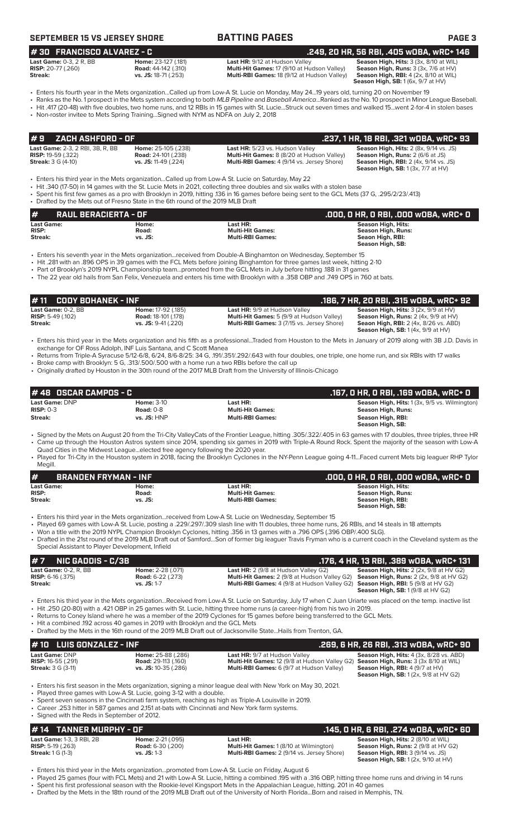## **SEPTEMBER 15 VS JERSEY SHORE BATTING PAGES PAGE 3**

**# 30 FRANCISCO ALVAREZ - C .249, 20 HR, 56 RBI, .405 wOBA, wRC+ 146**

| <b>Last Game:</b> 0-3, 2 R, BB | Home: 23-127 (.181)        | La: |
|--------------------------------|----------------------------|-----|
| <b>RISP:</b> 20-77 (.260)      | <b>Road:</b> 44-142 (.310) | Mυ  |
| Streak:                        | vs. JS: 18-71 (.253)       | Mυ  |

**Last HR:** 9/12 at Hudson Valley **Season High, Hits:** 3 (3x, 8/10 at WIL) **Season High, Hits:** 3 (3x, 8/10 at WIL)<br>**25 Road Home:** 17 (9/10 at Hudson Valley) **Season High, Runs:** 3 (3x, 7/6 at HV) **RIti-Hit Games:** 17 (9/10 at Hudson Valley) **Ilti-RBI Games:** 18 (9/12 at Hudson Valley)

**Season High, RBI:** 4 (2x, 8/10 at WIL)<br>**Season High, RBI:** 4 (2x, 8/10 at WIL)

• Enters his fourth year in the Mets organization...Called up from Low-A St. Lucie on Monday, May 24...19 years old, turning 20 on November 19 • Ranks as the No. 1 prospect in the Mets system according to both *MLB Pipeline* and *Baseball America*...Ranked as the No. 10 prospect in Minor League Baseball.

• Hit .417 (20-48) with five doubles, two home runs, and 12 RBIs in 15 games with St. Lucie...Struck out seven times and walked 15...went 2-for-4 in stolen bases

• Non-roster invitee to Mets Spring Training...Signed with NYM as NDFA on July 2, 2018

| #9    ZACH ASHFORD - OF :                                            |                                                          |                                                                                      | .237, 1 HR, 18 RBI, .321 wOBA, wRC+ 93                                                        |
|----------------------------------------------------------------------|----------------------------------------------------------|--------------------------------------------------------------------------------------|-----------------------------------------------------------------------------------------------|
| <b>Last Game: 2-3, 2 RBI, 3B, R, BB</b><br><b>RISP:</b> 19-59 (.322) | <b>Home: 25-105 (.238)</b><br><b>Road: 24-101 (.238)</b> | Last HR: 5/23 vs. Hudson Valley<br><b>Multi-Hit Games:</b> 8 (8/20 at Hudson Valley) | <b>Season High, Hits: 2 (8x, 9/14 vs. JS)</b><br><b>Season High, Runs: 2 (6/6 at JS)</b>      |
| <b>Streak:</b> 3 G (4-10)                                            | vs. JS: 11-49 (.224)                                     | <b>Multi-RBI Games:</b> 4 (9/14 vs. Jersey Shore)                                    | <b>Season High, RBI:</b> 2 (4x, 9/14 vs. JS)<br><b>Season High, SB:</b> $1(3x, 7/7$ at $HV$ ) |

• Enters his third year in the Mets organization...Called up from Low-A St. Lucie on Saturday, May 22

• Hit .340 (17-50) in 14 games with the St. Lucie Mets in 2021, collecting three doubles and six walks with a stolen base

• Spent his first few games as a pro with Brooklyn in 2019, hitting .136 in 16 games before being sent to the GCL Mets (37 G, .295/2/23/.413)

• Drafted by the Mets out of Fresno State in the 6th round of the 2019 MLB Draft

| #<br><b>RAUL BERACIERTA - OF</b> |         |                         | .000, 0 HR, 0 RBI, .000 WOBA, WRC+ 0 |
|----------------------------------|---------|-------------------------|--------------------------------------|
| <b>Last Game:</b>                | Home:   | Last HR:                | <b>Season High, Hits:</b>            |
| <b>RISP:</b>                     | Road:   | <b>Multi-Hit Games:</b> | Season High, Runs:                   |
| Streak:                          | vs. JS: | <b>Multi-RBI Games:</b> | Seaon High, RBI:                     |
|                                  |         |                         | Season High, SB:                     |

• Enters his seventh year in the Mets organization...received from Double-A Binghamton on Wednesday, September 15

• Hit .281 with an .896 OPS in 39 games with the FCL Mets before joining Binghamton for three games last week, hitting 2-10

• Part of Brooklyn's 2019 NYPL Championship team...promoted from the GCL Mets in July before hitting .188 in 31 games

• The 22 year old hails from San Felix, Venezuela and enters his time with Brooklyn with a .358 OBP and .749 OPS in 760 at bats.

| IT II GODT DONANER - INF                                    |                                                                                                                                                                   |                                                                                                                                                                                                                                                                                                                                                                                                                                                  | .100, 7 NR, EU RDI, .313 WUDA, WRU' 3E                                                                                                                                        |
|-------------------------------------------------------------|-------------------------------------------------------------------------------------------------------------------------------------------------------------------|--------------------------------------------------------------------------------------------------------------------------------------------------------------------------------------------------------------------------------------------------------------------------------------------------------------------------------------------------------------------------------------------------------------------------------------------------|-------------------------------------------------------------------------------------------------------------------------------------------------------------------------------|
| Last Game: 0-2. BB<br><b>RISP:</b> 5-49 $(.102)$<br>Streak: | Home: 17-92 (.185)<br><b>Road: 18-101 (.178)</b><br>$vs.$ JS: $9-41$ (.220)                                                                                       | Last HR: 9/9 at Hudson Valley<br>Multi-Hit Games: 5 (9/9 at Hudson Valley)<br>Multi-RBI Games: 3 (7/15 vs. Jersey Shore)                                                                                                                                                                                                                                                                                                                         | Season High, Hits: 3 (2x, 9/9 at HV)<br>Season High, Runs: 2 (4x, 9/9 at HV)<br><b>Seaon High, RBI:</b> 2 (4x, 8/26 vs. ABD)<br><b>Season High, SB:</b> $1(4x, 9/9$ at $HV$ ) |
|                                                             | exchange for OF Ross Adolph, INF Luis Santana, and C Scott Manea<br>• Broke camp with Brooklyn: 5 G, .313/.500/.500 with a home run a two RBIs before the call up | • Enters his third year in the Mets organization and his fifth as a professionalTraded from Houston to the Mets in January of 2019 along with 3B J.D. Davis in<br>• Returns from Triple-A Syracuse 5/12-6/8, 6/24, 8/6-8/25: 34 G, 191/.351/.292/.643 with four doubles, one triple, one home run, and six RBIs with 17 walks<br>• Originally drafted by Houston in the 30th round of the 2017 MLB Draft from the University of Illinois-Chicago |                                                                                                                                                                               |
| #48 OSCAR CAMPOS - C                                        |                                                                                                                                                                   |                                                                                                                                                                                                                                                                                                                                                                                                                                                  | .167, O HR, O RBI, .169 wOBA, wRC+ O                                                                                                                                          |
| Last Game: DNP                                              | <b>Home: 3-10</b>                                                                                                                                                 | Last HR:                                                                                                                                                                                                                                                                                                                                                                                                                                         | Season High, Hits: 1 (3x, 9/5 vs. Wilmington)                                                                                                                                 |

**# 11 CODY BOHANEK - INF .186, 7 HR, 20 RBI, .315 wOBA, wRC+ 92**

| Last Game: DNP | <b>Home: 3-10</b> | Last HR:                | <b>Season High, Hits:</b> 1 (3x, 9/5 vs. Wilmington) |
|----------------|-------------------|-------------------------|------------------------------------------------------|
| $RISP: 0-3$    | <b>Road: 0-8</b>  | <b>Multi-Hit Games:</b> | Season High, Runs:                                   |
| Streak:        | $vs.$ JS: $HNP$   | <b>Multi-RBI Games:</b> | Season High, RBI:                                    |
|                |                   |                         | Season High, SB:                                     |

• Signed by the Mets on August 20 from the Tri-City ValleyCats of the Frontier League, hitting .305/.322/.405 in 63 games with 17 doubles, three triples, three HR • Came up through the Houston Astros system since 2014, spending six games in 2019 with Triple-A Round Rock. Spent the majority of the season with Low-A Quad Cities in the Midwest League...elected free agency following the 2020 year.

• Played for Tri-City in the Houston system in 2018, facing the Brooklyn Cyclones in the NY-Penn League going 4-11...Faced current Mets big leaguer RHP Tylor Megill.

| #<br><b>BRANDEN FRYMAN - INF</b> |         |                         | .000. 0 HR. 0 RBI. .000 w0BA. wRC+ 0 |
|----------------------------------|---------|-------------------------|--------------------------------------|
| <b>Last Game:</b>                | Home:   | Last HR:                | Season High, Hits:                   |
| <b>RISP:</b>                     | Road:   | <b>Multi-Hit Games:</b> | Season High, Runs:                   |
| Streak:                          | vs. JS: | <b>Multi-RBI Games:</b> | Season High, RBI:                    |
|                                  |         |                         | Season High, SB:                     |

- Enters his third year in the Mets organization...received from Low-A St. Lucie on Wednesday, September 15
- Played 69 games with Low-A St. Lucie, posting a .229/.297/.309 slash line with 11 doubles, three home runs, 26 RBIs, and 14 steals in 18 attempts • Won a title with the 2019 NYPL Champion Brooklyn Cyclones, hitting .356 in 13 games with a .796 OPS (.396 OBP/.400 SLG).
- Drafted in the 21st round of the 2019 MLB Draft out of Samford...Son of former big leaguer Travis Fryman who is a current coach in the Cleveland system as the Special Assistant to Player Development, Infield

|                              | $\#$ 7 NIC GADDIS - C/3B $^{\prime}$ |                          |                                                                                                    | .176, 4 HR, 13 RBI, .389 wOBA, wRC+ 131                   |
|------------------------------|--------------------------------------|--------------------------|----------------------------------------------------------------------------------------------------|-----------------------------------------------------------|
|                              | <b>Last Game: 0-2. R. BB</b>         | <b>Home: 2-28 (.071)</b> | <b>Last HR:</b> $2(9/8$ at Hudson Valley G2)                                                       | <b>Season High, Hits:</b> $2$ ( $2x$ , $9/8$ at HV $62$ ) |
| <b>RISP:</b> $6-16$ $(.375)$ |                                      | <b>Road: 6-22 (.273)</b> | <b>Multi-Hit Games:</b> 2 (9/8 at Hudson Valley G2) <b>Season High, Runs:</b> 2 (2x, 9/8 at HV G2) |                                                           |
| Streak:                      |                                      | $vs.$ JS: 1-7            | <b>Multi-RBI Games:</b> 4 (9/8 at Hudson Valley G2) <b>Season High, RBI:</b> 5 (9/8 at HV G2)      |                                                           |
|                              |                                      |                          |                                                                                                    | <b>Season High, SB: 1 (9/8 at HV G2)</b>                  |

• Enters his third year in the Mets organization...Received from Low-A St. Lucie on Saturday, July 17 when C Juan Uriarte was placed on the temp. inactive list • Hit .250 (20-80) with a .421 OBP in 25 games with St. Lucie, hitting three home runs (a career-high) from his two in 2019.

- Returns to Coney Island where he was a member of the 2019 Cyclones for 15 games before being transferred to the GCL Mets.
- Hit a combined .192 across 40 games in 2019 with Brooklyn and the GCL Mets
- Drafted by the Mets in the 16th round of the 2019 MLB Draft out of Jacksonville State...Hails from Trenton, GA.

| $#10$ LUIS GONZALEZ - INF                                                |                                                                                 |                                                                                                                                                                                        | .269, 6 HR, 26 RBI, .313 wOBA, wRC+ 90                                                                                               |
|--------------------------------------------------------------------------|---------------------------------------------------------------------------------|----------------------------------------------------------------------------------------------------------------------------------------------------------------------------------------|--------------------------------------------------------------------------------------------------------------------------------------|
| Last Game: DNP<br><b>RISP:</b> 16-55 (.291)<br><b>Streak: 3 G (3-11)</b> | <b>Home:</b> 25-88 (.286)<br><b>Road: 29-113 (.160)</b><br>vs. JS: 10-35 (.286) | <b>Last HR: 9/7 at Hudson Valley</b><br><b>Multi-Hit Games:</b> 12 (9/8 at Hudson Valley G2) <b>Season High, Runs:</b> 3 (3x 8/10 at WIL)<br>Multi-RBI Games: 6 (9/7 at Hudson Valley) | Season High, Hits: 4 (3x, 8/28 vs. ABD)<br><b>Season High, RBI:</b> $4(9/7$ at $HV$ )<br><b>Season High, SB:</b> 1(2x, 9/8 at HV G2) |
|                                                                          |                                                                                 |                                                                                                                                                                                        |                                                                                                                                      |

• Enters his first season in the Mets organization, signing a minor league deal with New York on May 30, 2021.

Played three games with Low-A St. Lucie, going 3-12 with a double.

Spent seven seasons in the Cincinnati farm system, reaching as high as Triple-A Louisville in 2019

• Career .253 hitter in 587 games and 2,151 at-bats with Cincinnati and New York farm systems. • Signed with the Reds in September of 2012.

### **# 14 TANNER MURPHY - OF .145, 0 HR, 6 RBI, .274 wOBA, wRC+ 60**

|                                  |                          |                                                   | ,,, , ,                                        |
|----------------------------------|--------------------------|---------------------------------------------------|------------------------------------------------|
| <b>Last Game: 1-3, 3 RBI, 2B</b> | <b>Home: 2-21</b> (.095) | Last HR:                                          | <b>Season High, Hits: 2 (8/10 at WIL)</b>      |
| <b>RISP:</b> 5-19 $(.263)$       | <b>Road:</b> 6-30 (.200) | <b>Multi-Hit Games: 1 (8/10 at Wilmington)</b>    | <b>Season High, Runs: 2 (9/8 at HV G2)</b>     |
| <b>Streak:</b> $1 G (1-3)$       | $vs.$ JS: 1-3            | <b>Multi-RBI Games: 2 (9/14 vs. Jersey Shore)</b> | <b>Season High, RBI: 3 (9/14 vs. JS)</b>       |
|                                  |                          |                                                   | <b>Season High, SB:</b> $1(2x, 9/10$ at $HV$ ) |

• Enters his third year in the Mets organization...promoted from Low-A St. Lucie on Friday, August 6

- Played 25 games (four with FCL Mets) and 21 with Low-A St. Lucie, hitting a combined .195 with a .316 OBP, hitting three home runs and driving in 14 runs • Spent his first professional season with the Rookie-level Kingsport Mets in the Appalachian League, hitting. 201 in 40 games
- Drafted by the Mets in the 18th round of the 2019 MLB Draft out of the University of North Florida...Born and raised in Memphis, TN.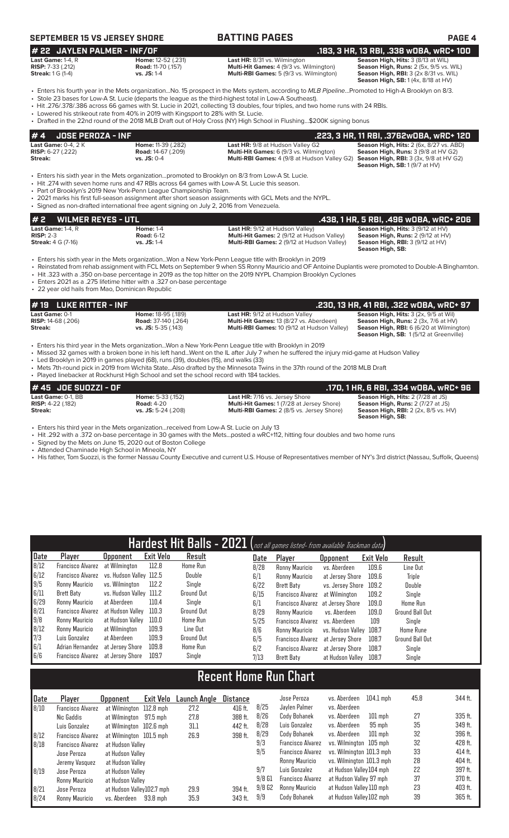## **SEPTEMBER 15 VS JERSEY SHORE BATTING PAGES PAGE 4**

### **# 22 JAYLEN PALMER - INF/OF .183, 3 HR, 13 RBI, .338 wOBA, wRC+ 100 Last Game:** 1-4, R **Home:** 12-52 (.231) **Last HR:** 8/31 vs. Wilmington **Season High, Hits:** 3 (8/13 at WIL) **RISP:** 7-33 (.212) **Road:** 11-70 (.157) **Multi-Hit Games:** 4 (9/3 vs. Wilmington) **Season High, Runs:** 2 (5x, 9/5 vs. WIL) **Streak:** 1 G (1-4) **vs. JS:** 1-4 **Multi-RBI Games:** 5 (9/3 vs. Wilmington) **Season High, RBI:** 3 (2x 8/31 vs. WIL)

**Season High, RBI:** 3 (2x 8/31 vs. WIL)<br>**Season High, SB:** 1 (4x, 8/18 at HV)

- Enters his fourth year in the Mets organization...No. 15 prospect in the Mets system, according to *MLB Pipeline*...Promoted to High-A Brooklyn on 8/3.
- Stole 23 bases for Low-A St. Lucie (departs the league as the third-highest total in Low-A Southeast). • Hit .276/.378/.386 across 66 games with St. Lucie in 2021, collecting 13 doubles, four triples, and two home runs with 24 RBIs.
- Lowered his strikeout rate from 40% in 2019 with Kingsport to 28% with St. Lucie.
- Drafted in the 22nd round of the 2018 MLB Draft out of Holy Cross (NY) High School in Flushing...\$200K signing bonus

| $\# 4$ JOSE PEROZA - INF |                           |                                                                                                   | .223, 3 HR, 11 RBI, .3762w0BA, wRC+ 120        |
|--------------------------|---------------------------|---------------------------------------------------------------------------------------------------|------------------------------------------------|
| Last Game: $0-4$ . $2K$  | <b>Home: 11-39 (.282)</b> | <b>Last HR:</b> 9/8 at Hudson Valley G2                                                           | <b>Season High, Hits: 2 (6x, 8/27 vs. ABD)</b> |
| <b>RISP:</b> 6-27 (.222) | <b>Road:</b> 14-67 (.209) | <b>Multi-Hit Games:</b> 6 (9/3 vs. Wilmington)                                                    | <b>Season High, Runs: 3 (9/8 at HV G2)</b>     |
| Streak:                  | $vs.$ JS: 0-4             | <b>Multi-RBI Games:</b> 4 (9/8 at Hudson Valley G2) <b>Season High, RBI:</b> 3 (3x, 9/8 at HV G2) |                                                |
|                          |                           |                                                                                                   | <b>Season High, SB: 1(9/7 at HV)</b>           |

• Enters his sixth year in the Mets organization...promoted to Brooklyn on 8/3 from Low-A St. Lucie.

• Hit .274 with seven home runs and 47 RBIs across 64 games with Low-A St. Lucie this season.

• Part of Brooklyn's 2019 New York-Penn League Championship Team.

• 2021 marks his first full-season assignment after short season assignments with GCL Mets and the NYPL. • Signed as non-drafted international free agent signing on July 2, 2016 from Venezuela.

| #2<br><b>WILMER REYES - UTL</b>       |                                       |                                                                                             | .438, 1 HR, 5 RBI, .496 WOBA, WRC+ 206                                               |
|---------------------------------------|---------------------------------------|---------------------------------------------------------------------------------------------|--------------------------------------------------------------------------------------|
| Last Game: $1-4$ . $R$<br>$RISP: 2-3$ | <b>Home: 1-4</b><br><b>Road: 6-12</b> | <b>Last HR: 9/12 at Hudson Valley)</b><br><b>Multi-Hit Games: 2 (9/12 at Hudson Valley)</b> | <b>Season High, Hits: 3 (9/12 at HV)</b><br><b>Season High, Runs: 2 (9/12 at HV)</b> |
| <b>Streak:</b> 4 G (7-16)             | <b>vs. JS:</b> 1-4                    | <b>Multi-RBI Games: 2 (9/12 at Hudson Valley)</b>                                           | <b>Season High, RBI:</b> $3(9/12$ at $HV$ )                                          |
|                                       |                                       |                                                                                             | Season High, SB:                                                                     |

• Enters his sixth year in the Mets organization...Won a New York-Penn League title with Brooklyn in 2019

- Reinstated from rehab assignment with FCL Mets on September 9 when SS Ronny Mauricio and OF Antoine Duplantis were promoted to Double-A Binghamton. • Hit .323 with a .350 on-base percentage in 2019 as the top hitter on the 2019 NYPL Champion Brooklyn Cyclones
- Enters 2021 as a .275 lifetime hitter with a .327 on-base percentage
- 22 year old hails from Mao, Dominican Republic

## **# 19 LUKE RITTER - INF .230, 13 HR, 41 RBI, .322 wOBA, wRC+ 97**

| <b>Last Game: 0-1</b>     |
|---------------------------|
| <b>RISP:</b> 14-68 (.206) |
| $P_{11} = 1.0$            |

**Last Game:** 0-1 **Home:** 18-95 (.189) **Last HR:** 9/12 at Hudson Valley **Season High, Hits:** 3 (2x, 9/5 at Wil) **RISP:** 14-68 (.206) **Road:** 37-140 (.264) **Multi-Hit Games:** 13 (8/27 vs. Aberdeen) **Season High, Runs:** 2 (3x, 7/6 at HV)

**Season High, Hits:** 3 (2x, 9/5 at Wil)<br> **Streak:** RISP: 14-68 (.206) **Multi-REI Games: 10** (254) **Multi-RBI Games: 13** (8/27 vs. Aberdeen) **Season High, Runs:** 2 (3x, 7/6 at HV)<br> **Streak: Streak: Streak: Streak: S Season High, SB:** 1 (5/12 at Greenville)

- Enters his third year in the Mets organization...Won a New York-Penn League title with Brooklyn in 2019 • Missed 32 games with a broken bone in his left hand...Went on the IL after July 7 when he suffered the injury mid-game at Hudson Valley
- Led Brooklyn in 2019 in games played (68), runs (39), doubles (15), and walks (33)
- Mets 7th-round pick in 2019 from Wichita State...Also drafted by the Minnesota Twins in the 37th round of the 2018 MLB Draft
- Played linebacker at Rockhurst High School and set the school record with 184 tackles. **# 45 JOE SUOZZI - OF .170, 1 HR, 6 RBI, .334 wOBA, wRC+ 96 Last Game:** 0-1, BB **Home:** 5-33 (.152) **Last HR:** 7/16 vs. Jersey Shore **Season High, Hits:** 2 (7/28 at JS)<br>**RISP:** 4-22 (.182) **Road:** 4-20 **Road:** 4-20 **Multi-Hit Games:** 1 (7/28 at Jersey Shore) **Season High, Runs:** 2 **RISP:** 4-22 (.182)<br>**Road:** 4-20 **Road: 4-20 Multi-Hit Games:** 1 (7/28 at Jersey Shore) **Season High, Runs:** 2 (7/27 at JS)<br>**Streak: vs. JS:** 5-24 (.208) **Multi-RBI Games:** 2 (8/5 vs. Jersey Shore) **Season High, RBI: Streak: Value of 2003** (1992) **Multi-RBI Games:** 2 (8/5 vs. Jersey Shore) **Season High, SB:**

• Enters his third year in the Mets organization...received from Low-A St. Lucie on July 13

- Hit .292 with a .372 on-base percentage in 30 games with the Mets...posted a wRC+112, hitting four doubles and two home runs
- Signed by the Mets on June 15, 2020 out of Boston College
- Attended Chaminade High School in Mineola, NY
- His father, Tom Suozzi, is the former Nassau County Executive and current U.S. House of Representatives member of NY's 3rd district (Nassau, Suffolk, Queens)

| Hardest Hit Balls - 2021 (not all games listed- from available Trackman data) |                                   |                         |           |                   |  |      |                                   |                         |           |                        |  |  |  |
|-------------------------------------------------------------------------------|-----------------------------------|-------------------------|-----------|-------------------|--|------|-----------------------------------|-------------------------|-----------|------------------------|--|--|--|
| Date                                                                          | Player                            | <b>Upponent</b>         | Exit Velo | Result            |  | Date | Player                            | Opponent                | Exit Velo | Result                 |  |  |  |
| 8/12                                                                          | Francisco Alvarez                 | at Wilmington           | 112.8     | Home Run          |  | 8/28 | Ronny Mauricio                    | vs. Aberdeen            | 109.6     | Line Out               |  |  |  |
| 6/12                                                                          | Francisco Alvarez                 | vs. Hudson Vallev 112.5 |           | Double            |  | 6/1  | Ronny Mauricio                    | at Jersey Shore         | 109.6     | Triple                 |  |  |  |
| 9/5                                                                           | Ronny Mauricio                    | vs. Wilminaton          | 112.2     | Single            |  | 6/22 | Brett Baty                        | vs. Jersev Shore        | 109.2     | Double                 |  |  |  |
| 6/11                                                                          | Brett Baty                        | vs. Hudson Valley 111.2 |           | <b>Ground Out</b> |  | 6/15 | Francisco Alvarez                 | at Wilmington           | 109.2     | Single                 |  |  |  |
| 6/29                                                                          | Ronny Mauricio                    | at Aberdeen             | 110.4     | Single            |  | 6/1  | Francisco Alvarez at Jersey Shore |                         | 109.0     | Home Run               |  |  |  |
| 8/21                                                                          | Francisco Alvarez                 | at Hudson Valley        | 110.3     | <b>Ground Out</b> |  | 8/29 | Ronny Mauricio                    | vs. Aberdeen            | 109.0     | <b>Ground Ball Out</b> |  |  |  |
| 9/8                                                                           | Ronny Mauricio                    | at Hudson Vallev        | 110.0     | Home Run          |  | 5/25 | Francisco Alvarez                 | vs. Aberdeen            | 109       | Single                 |  |  |  |
| 8/12                                                                          | Ronny Mauricio                    | at Wilmington           | 109.9     | Line Out          |  | 8/6  | Ronny Mauricio                    | vs. Hudson Valley 108.7 |           | <b>Home Rune</b>       |  |  |  |
| $\frac{7}{3}$ 6/1                                                             | Luis Gonzalez                     | at Aberdeen             | 109.9     | <b>Ground Out</b> |  | 6/5  | Francisco Alvarez                 | at Jersev Shore         | 108.7     | <b>Ground Ball Out</b> |  |  |  |
|                                                                               | Adrian Hernandez                  | at Jersev Shore         | 109.8     | Home Run          |  | 6/2  | Francisco Alvarez                 | at Jersev Shore         | 108.7     | Single                 |  |  |  |
| 6/6                                                                           | Francisco Alvarez at Jersey Shore |                         | 109.7     | Single            |  | 7/13 | <b>Brett Baty</b>                 | at Hudson Vallev        | 108.7     | Single                 |  |  |  |

## **Recent Home Run Chart**

| Date | Player                   | <b>Opponent</b>           | Exit Velo | Launch Angle | Distance |          | Jose Peroza              | vs. Aberdeen             | $104.1$ mph | 45.8 | 344 ft.   |
|------|--------------------------|---------------------------|-----------|--------------|----------|----------|--------------------------|--------------------------|-------------|------|-----------|
| 8/10 | <b>Francisco Alvarez</b> | at Wilmington 112.8 mph   |           | 27.2         | 416 ft.  | 8/25     | Javlen Palmer            | vs. Aberdeen             |             |      |           |
|      | Nic Gaddis               | at Wilmington             | 97.5 mph  | 27.8         | 388 ft.  | 8/26     | Cody Bohanek             | vs. Aberdeen             | $101$ mph   | 27   | $335$ ft. |
|      | Luis Gonzalez            | at Wilmington 102.6 mph   |           | 31.1         | 442 ft.  | 8/28     | Luis Gonzalez            | vs. Aberdeen             | 95 mph      | 35   | 349 ft.   |
| 8/12 | Francisco Alvarez        | at Wilmington 101.5 mph   |           | 26.9         | 398 ft.  | 8/29     | Cody Bohanek             | vs. Aberdeen             | $101$ mph   | 32   | 396 ft.   |
| 8/18 | <b>Francisco Alvarez</b> | at Hudson Valley          |           |              |          | 9/3      | <b>Francisco Alvarez</b> | vs. Wilminaton 105 mph   |             | 32   | 428 ft.   |
|      | Jose Peroza              | at Hudson Vallev          |           |              |          | 9/5      | <b>Francisco Alvarez</b> | vs. Wilmington 101.3 mph |             | 33   | 414 ft.   |
|      | Jeremy Vasquez           | at Hudson Valley          |           |              |          |          | Ronny Mauricio           | vs. Wilminaton 101.3 mph |             | 28   | 404 ft.   |
| 8/19 | Jose Peroza              | at Hudson Vallev          |           |              |          | 9/7      | Luis Gonzalez            | at Hudson Vallev 104 mph |             | 22   | 397 ft.   |
|      | Ronny Mauricio           | at Hudson Valley          |           |              |          | $9/8$ G1 | <b>Francisco Alvarez</b> | at Hudson Valley 97 mph  |             | 37   | 370 ft.   |
| 8/21 | Jose Peroza              | at Hudson Valley102.7 mph |           | 29.9         | 394 ft.  | 9/8G2    | Ronny Mauricio           | at Hudson Valley 110 mph |             | 23   | 403 ft.   |
| 8/24 | Ronny Mauricio           | vs. Aberdeen              | 93.8 mph  | 35.9         | 343 ft.  | 9/9      | Cody Bohanek             | at Hudson Valley 102 mph |             | 39   | 365 ft.   |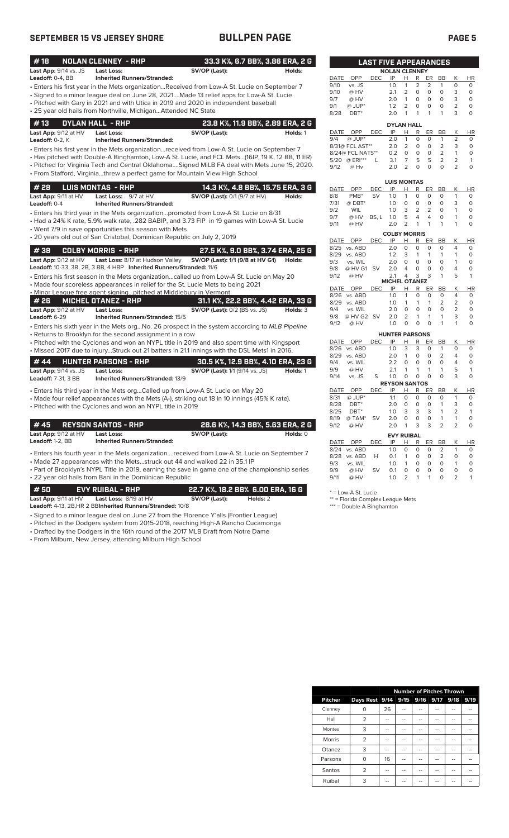## **SEPTEMBER 15 VS JERSEY SHORE BULLPEN PAGE PAGE 5**

| #18                        | <b>NOLAN CLENNEY - RHP</b>                                              |                                                                                                | 33.3 K%, 6.7 BB%, 3.86 ERA, 2 G  |             |                              | <b>LAST FIVE APPEARANCES</b> |                       |                                |                         |                          |                          |                     |                          |
|----------------------------|-------------------------------------------------------------------------|------------------------------------------------------------------------------------------------|----------------------------------|-------------|------------------------------|------------------------------|-----------------------|--------------------------------|-------------------------|--------------------------|--------------------------|---------------------|--------------------------|
| Last App: 9/14 vs. JS      | <b>Last Loss:</b>                                                       | SV/OP (Last):                                                                                  | Holds:                           |             |                              |                              | <b>NOLAN CLENNEY</b>  |                                |                         |                          |                          |                     |                          |
| Leadoff: $0-4$ . BB        | <b>Inherited Runners/Stranded:</b>                                      |                                                                                                |                                  | <b>DATE</b> | OPP                          | <b>DEC</b>                   | IP                    | H                              | R                       | <b>ER</b>                | <b>BB</b>                | K                   | HI                       |
|                            |                                                                         | • Enters his first year in the Mets organizationReceived from Low-A St. Lucie on September 7   |                                  | 9/10        | vs. JS                       |                              | 1.0                   | $\mathbf{1}$                   | 2                       | 2                        | 1                        | $\Omega$            | $\Omega$                 |
|                            |                                                                         | • Signed to a minor league deal on June 28, 2021Made 13 relief apps for Low-A St. Lucie        |                                  | 9/10        | @ HV                         |                              | 2.1                   | 2                              | $\circ$                 | $\circ$                  | $\circ$                  | 3                   | $\circ$                  |
|                            |                                                                         | • Pitched with Gary in 2021 and with Utica in 2019 and 2020 in independent baseball            |                                  | 9/7         | @ HV                         |                              | 2.0                   | $\mathbf{1}$                   | $\circ$                 | $\circ$                  | $\Omega$                 | 3<br>$\overline{2}$ | $\Omega$                 |
|                            | • 25 year old hails from Northville, MichiganAttended NC State          |                                                                                                |                                  | 9/1<br>8/28 | $@$ JUP*<br>DBT*             |                              | 1.2<br>2.0            | $\overline{2}$<br>$\mathbf{1}$ | $\circ$<br>1            | $\circ$<br>$\mathbf{1}$  | $\mathbf 0$<br>1         | 3                   | $\Omega$<br>0            |
| #13                        | <b>DYLAN HALL - RHP</b>                                                 |                                                                                                | 23.8 K%, 11.9 BB%, 2.89 ERA, 2 G |             |                              |                              | <b>DYLAN HALL</b>     |                                |                         |                          |                          |                     |                          |
| Last App: 9/12 at HV       | Last Loss:                                                              | SV/OP (Last):                                                                                  | Holds: 1                         | DATE        | <b>OPP</b>                   | <b>DEC</b>                   | IP                    | Н                              | R                       | ER                       | <b>BB</b>                | Κ                   | HI                       |
| Leadoff: 0-2, K            | <b>Inherited Runners/Stranded:</b>                                      |                                                                                                |                                  | 9/4         | $@$ JUP*                     |                              | 2.0                   | $\mathbf{1}$                   | $\circ$                 | $\circ$                  | $\mathbf{1}$             | $\overline{2}$      | 0                        |
|                            |                                                                         | • Enters his first year in the Mets organizationreceived from Low-A St. Lucie on September 7   |                                  |             | 8/31@ FCL AST**              |                              | 2.0                   | 2                              | $\circ$                 | $\circ$                  | 2                        | 3                   | 0                        |
|                            |                                                                         | Has pitched with Double-A Binghamton, Low-A St. Lucie, and FCL Mets(16IP, 19 K, 12 BB, 11 ER)  |                                  |             | 8/24@ FCL NATS**             |                              | 0.2                   | $\circ$                        | $\circ$                 | $\circ$                  | 2                        | $\mathbf{1}$        | $\circ$                  |
|                            |                                                                         | . Pitched for Virginia Tech and Central Oklahoma Signed MiLB FA deal with Mets June 15, 2020.  |                                  |             | 5/20 @ ERI***                | L                            | 3.1                   | $\overline{7}$                 | 5                       | 5                        | $\overline{2}$           | $\overline{2}$      | 1                        |
|                            |                                                                         |                                                                                                |                                  | 9/12        | @ Hv                         |                              | 2.0                   | $\overline{2}$                 | 0                       | $\Omega$                 | $\Omega$                 | $\overline{2}$      | $\Omega$                 |
|                            |                                                                         | • From Stafford, Virginiathrew a perfect game for Mountain View High School                    |                                  |             |                              |                              | <b>LUIS MONTAS</b>    |                                |                         |                          |                          |                     |                          |
| # 28                       | <b>LUIS MONTAS - RHP</b>                                                |                                                                                                | 14.3 K%, 4.8 BB%, 15.75 ERA, 3 G | DATE        | OPP                          | <b>DEC</b>                   | IP                    | Н                              | R                       | ER                       | <b>BB</b>                | Κ                   | HI                       |
| Last App: 9/11 at HV       | Last Loss: 9/7 at HV                                                    | SV/OP (Last): 0/1 (9/7 at HV)                                                                  | Holds:                           | 8/8         | PMB <sup>*</sup>             | <b>SV</b>                    | 1.0                   | $\mathbf{1}$                   | $\circ$                 | $\circ$                  | $\Omega$                 | $\mathbf{1}$        | $\Omega$                 |
| Leadoff: 0-4               | <b>Inherited Runners/Stranded:</b>                                      |                                                                                                |                                  | 7/31        | $@$ DBT*                     |                              | 1.0                   | $\Omega$                       | $\circ$                 | $\circ$                  | $\Omega$                 | 3                   | $\Omega$                 |
|                            |                                                                         | • Enters his third year in the Mets organizationpromoted from Low-A St. Lucie on 8/31          |                                  | 9/2         | <b>WIL</b>                   |                              | 1.0                   | 3                              | $\overline{2}$          | 2                        | $\circ$                  | $\mathbf{1}$        | $\Omega$                 |
|                            |                                                                         | • Had a 24% K rate, 5.9% walk rate, .282 BABIP, and 3.73 FIP in 19 games with Low-A St. Lucie  |                                  | 9/7         | @ HV                         | BS, L                        | 1.0                   | 5                              | $\overline{4}$          | $\overline{4}$           | $\circ$                  | $\mathbf{1}$        | $\Omega$                 |
|                            | • Went 7/9 in save opportunities this season with Mets                  |                                                                                                |                                  | 9/11        | @ HV                         |                              | 2.0                   | 2                              | $\mathbf{1}$            | $\mathbf{1}$             | 1                        | 1                   | $\Omega$                 |
|                            | • 20 years old out of San Cristobal, Dominican Republic on July 2, 2019 |                                                                                                |                                  |             |                              |                              | <b>COLBY MORRIS</b>   |                                |                         |                          |                          |                     |                          |
|                            |                                                                         |                                                                                                |                                  | DATE        | OPP<br>8/25 vs. ABD          | <b>DEC</b>                   | IP<br>2.0             | Н<br>$\circ$                   | R<br>$\circ$            | ER<br>$\circ$            | <b>BB</b><br>$\Omega$    | Κ<br>$\overline{4}$ | HI<br>$\Omega$           |
| #38                        | <b>COLBY MORRIS - RHP</b>                                               |                                                                                                | 27.5 K%, 9.0 BB%, 3.74 ERA, 25 G |             | 8/29 vs. ABD                 |                              | 1.2                   | 3                              | $\mathbf{1}$            | $\mathbf{1}$             | 1                        | $\mathbf{1}$        | $\Omega$                 |
| Last App: 9/12 at HV       | Last Loss: 8/17 at Hudson Valley                                        | SV/OP (Last): 1/1 (9/8 at HV G1)                                                               | Holds:                           | 9/3         | vs. WIL                      |                              | 2.0                   | $\circ$                        | $\circ$                 | $\circ$                  | $\Omega$                 | $\mathbf{1}$        | $\Omega$                 |
|                            | Leadoff: 10-33, 3B, 2B, 3 BB, 4 HBP Inherited Runners/Stranded: 11/6    |                                                                                                |                                  | 9/8         | @ HV G1 SV                   |                              | 2.0                   | $\overline{4}$                 | $\Omega$                | $\circ$                  | $\mathbf 0$              | 4                   | $\Omega$                 |
|                            |                                                                         | • Enters his first season in the Mets organizationcalled up from Low-A St. Lucie on May 20     |                                  | 9/12        | @ HV                         |                              | 2.1                   | $\overline{4}$                 | 3                       | 3                        | 1                        | 5                   | 1                        |
|                            |                                                                         | • Made four scoreless appearances in relief for the St. Lucie Mets to being 2021               |                                  |             |                              |                              | <b>MICHEL OTANEZ</b>  |                                |                         |                          |                          |                     |                          |
|                            | . Minor League free agent signing pitched at Middlebury in Vermont      |                                                                                                |                                  | DATE        | OPP                          | <b>DEC</b>                   | IP                    | Н<br>1                         | $\mathsf R$<br>0        | ER<br>$\Omega$           | <b>BB</b><br>$\Omega$    | К<br>$\overline{4}$ | H<br>0                   |
| # 26                       | <b>MICHEL OTANEZ - RHP</b>                                              | 31.1 K%, 22.2 BB%, 4.42 ERA, 33 G                                                              |                                  |             | 8/26 vs. ABD<br>8/29 vs. ABD |                              | 1.0<br>1.0            | $\mathbf{1}$                   | 1                       | $\mathbf{1}$             | 2                        | $\overline{2}$      | 0                        |
| Last App: 9/12 at HV       | <b>Last Loss:</b>                                                       | <b>SV/OP (Last):</b> 0/2 (BS vs. JS)                                                           | Holds: 3                         | 9/4         | vs. WIL                      |                              | 2.0                   | $\circ$                        | $\Omega$                | $\Omega$                 | $\Omega$                 | $\overline{2}$      | $\Omega$                 |
| Leadoff: 6-29              | <b>Inherited Runners/Stranded: 15/5</b>                                 |                                                                                                |                                  | 9/8         | @ HV G2 SV                   |                              | 2.0                   | 2                              | $\mathbf{1}$            | $\mathbf{1}$             | $\mathbf{1}$             | 3                   | $\Omega$                 |
|                            |                                                                         | • Enters his sixth year in the Mets orgNo. 26 prospect in the system according to MLB Pipeline |                                  | 9/12        | @ HV                         |                              | 1.0                   | $\circ$                        | $\circ$                 | $\Omega$                 | 1                        | 1                   | 0                        |
|                            | • Returns to Brooklyn for the second assignment in a row                |                                                                                                |                                  |             |                              |                              | <b>HUNTER PARSONS</b> |                                |                         |                          |                          |                     |                          |
|                            |                                                                         | • Pitched with the Cyclones and won an NYPL title in 2019 and also spent time with Kingsport   |                                  | DATE        | OPP                          | <b>DEC</b>                   | IP                    | н                              | R                       | ER                       | BB                       | Κ                   | HI                       |
|                            |                                                                         | · Missed 2017 due to injuryStruck out 21 batters in 21.1 innings with the DSL Mets1 in 2016.   |                                  |             | 8/26 vs. ABD                 |                              | 1.0                   | 3                              | 3                       | $\circ$                  | $\mathbf{1}$             | $\circ$             | $\circ$                  |
|                            |                                                                         |                                                                                                |                                  |             | 8/29 vs. ABD                 |                              | 2.0                   | $\mathbf{1}$                   | $\mathsf O$             | $\mathsf O$              | $\overline{2}$           | $\overline{4}$      | 0                        |
| #44                        | HUNTER PARSONS - RHP                                                    | 30.5 K%, 12.9 BB%, 4.10 ERA, 23 G                                                              |                                  | 9/4         | vs. WIL                      |                              | 2.2                   | 0                              | 0                       | $\circ$                  | $\mathbf 0$              | $\overline{4}$      | 0                        |
| Last App: 9/14 vs. JS      | Last Loss:                                                              | <b>SV/OP (Last):</b> 1/1 (9/14 vs. JS)                                                         | Holds: 1                         | 9/9<br>9/14 | @ HV                         | S                            | 2.1<br>1.0            | $\mathbf{1}$<br>$\circ$        | $\mathbf{1}$<br>$\circ$ | $\mathbf{1}$<br>$\Omega$ | $\mathbf{1}$<br>$\Omega$ | 5<br>3              | $\mathbf{1}$<br>$\Omega$ |
| <b>Leadoff: 7-31, 3 BB</b> | Inherited Runners/Stranded: 13/9                                        |                                                                                                |                                  |             | vs. JS                       |                              | <b>REYSON SANTOS</b>  |                                |                         |                          |                          |                     |                          |
|                            |                                                                         | • Enters his third year in the Mets orgCalled up from Low-A St. Lucie on May 20                |                                  | DATE        | OPP                          | <b>DEC</b>                   | IP                    | Н                              | R                       | ER                       | <b>BB</b>                | Κ                   | HI                       |
|                            |                                                                         | • Made four relief appearances with the Mets (A-), striking out 18 in 10 innings (45% K rate). |                                  | 8/31        | $@$ JUP*                     |                              | 1.1                   | $\circ$                        | $\circ$                 | $\circ$                  | $\Omega$                 | $\mathbf{1}$        | $\Omega$                 |
|                            | • Pitched with the Cyclones and won an NYPL title in 2019               |                                                                                                |                                  | 8/28        | DBT <sup>*</sup>             |                              | 2.0                   | $\circ$                        | $\circ$                 | $\circ$                  | $\mathbf{1}$             | 3                   | 0                        |
|                            |                                                                         |                                                                                                |                                  | 8/25        | DBT*                         |                              | 1.0                   | 3                              | 3                       | 3                        | 1                        | 2                   |                          |
| #45                        | <b>REYSON SANTOS - RHP</b>                                              |                                                                                                | 28.6 K%, 14.3 BB%, 5.63 ERA, 2 G | 8/19        | @ TAM*                       | <b>SV</b>                    | 2.0                   | $\circ$                        | $\circ$<br>3            | $\circ$<br>3             | 1<br>$\overline{2}$      | $\mathbf{1}$<br>2   | $\circ$                  |
|                            |                                                                         |                                                                                                |                                  | 9/12        | @ HV                         |                              | 2.0                   | $\mathbf{1}$                   |                         |                          |                          |                     | 0                        |
| Last App: 9/12 at HV       | Last Loss:                                                              | SV/OP (Last):                                                                                  | Holds: 0                         |             |                              |                              | <b>EVY RUIBAL</b>     |                                |                         |                          |                          |                     |                          |
| Leadoff: $1-2$ , BB        | <b>Inherited Runners/Stranded:</b>                                      |                                                                                                |                                  |             | DATE OPP<br>8/24 vs. ABD     | <b>DEC</b>                   | IP<br>1.0             | Н<br>$\circ$                   | R<br>$\circ$            | ER<br>$\circ$            | BB<br>2                  | K<br>$\mathbf{1}$   | H<br>$\circ$             |
|                            |                                                                         |                                                                                                |                                  |             |                              |                              |                       |                                |                         |                          |                          |                     |                          |

• Enters his fourth year in the Mets organization....received from Low-A St. Lucie on September 7 • Made 27 appearances with the Mets...struck out 44 and walked 22 in 35.1 IP

• Part of Brooklyn's NYPL Title in 2019, earning the save in game one of the championship series • 22 year old hails from Bani in the Domiinican Republic

**# 50 EVY RUIBAL - RHP 22.7 K%, 18.2 BB% 6.00 ERA, 16 G Last App:** 9/11 at HV **Last Loss:** 8/19 at HV **SV/OP (Last): Holds:** 2

**Leadoff:** 4-13, 2B,HR 2 BB**Inherited Runners/Stranded:** 10/8

- Signed to a minor league deal on June 27 from the Florence Y'alls (Frontier League)
- Pitched in the Dodgers system from 2015-2018, reaching High-A Rancho Cucamonga
- Drafted by the Dodgers in the 16th round of the 2017 MLB Draft from Notre Dame

• From Milburn, New Jersey, attending Milburn High School

|             | <b>LAST FIVE APPEARANCES</b> |            |                   |                |                |                |           |                |           |  |  |  |  |  |  |
|-------------|------------------------------|------------|-------------------|----------------|----------------|----------------|-----------|----------------|-----------|--|--|--|--|--|--|
|             | <b>NOLAN CLENNEY</b>         |            |                   |                |                |                |           |                |           |  |  |  |  |  |  |
| <b>DATE</b> | OPP                          | DEC        | IP                | н              | R              | ER             | <b>BB</b> | К              | HR        |  |  |  |  |  |  |
| 9/10        | vs. JS                       |            | 1.0               | 1              | $\overline{2}$ | $\overline{2}$ | 1         | O              | O         |  |  |  |  |  |  |
| 9/10        | @ HV                         |            | 2.1               | $\overline{2}$ | O              | O              | O         | 3              | 0         |  |  |  |  |  |  |
| 9/7         | @ HV                         |            | 2.0               | 1              | $\Omega$       | $\Omega$       | O         | 3              | 0         |  |  |  |  |  |  |
| 9/1         | @ JUP*                       |            | 1.2               | $\overline{2}$ | 0              | O              | O         | $\overline{2}$ | 0         |  |  |  |  |  |  |
| 8/28        | DBT*                         |            | 2.0               | 1              | 1              | 1              | 1         | 3              | $\Omega$  |  |  |  |  |  |  |
|             |                              |            | <b>DYLAN HALL</b> |                |                |                |           |                |           |  |  |  |  |  |  |
| DATE        | OPP                          | <b>DEC</b> | IP                | н              | R              | ER             | <b>BB</b> | K              | <b>HR</b> |  |  |  |  |  |  |
| 9/4         | $@$ JUP*                     |            | 2.0               | 1              | O              | O              | 1         | $\overline{2}$ | $\Omega$  |  |  |  |  |  |  |
|             | 8/31@ FCL AST**              |            | 2.0               | $\overline{2}$ | O              | O              | 2         | 3              | $\Omega$  |  |  |  |  |  |  |
|             | 8/24@ FCL NATS**             |            | 0.2               | ი              | O              | ი              | 2         | 1              | O         |  |  |  |  |  |  |

|      |                  |            | <b>LUIS MONTAS</b>   |                |          |        |           |                |        |
|------|------------------|------------|----------------------|----------------|----------|--------|-----------|----------------|--------|
| DATE | OPP              | DEC        | IP                   | н              | R        | ER     | BB        | Κ              | ΗR     |
| 8/8  | PMB <sup>*</sup> | SV         | 1.0                  | 1              | 0        | O      | 0         | 1              | 0      |
| 7/31 | @ DBT*           |            | 1.0                  | 0              | O        | O      | O         | 3              | 0      |
| 9/2  | <b>WIL</b>       |            | 1.0                  | 3              | 2        | 2      | 0         | 1              | 0      |
| 9/7  | @ HV             | BS, L      | 1.0                  | 5              | 4        | 4      | O         | 1              | 0      |
| 9/11 | @ HV             |            | 2.0                  | 2              | 1        | 1      | 1         | 1              | 0      |
|      |                  |            | <b>COLBY MORRIS</b>  |                |          |        |           |                |        |
| DATE | OPP              | <b>DEC</b> | IP                   | н              | R        | ER     | <b>BB</b> | Κ              | HR     |
| 8/25 | vs. ABD          |            | 2.0                  | 0              | 0        | O      | 0         | 4              | 0      |
| 8/29 | vs. ABD          |            | 1.2                  | 3              | 1        | 1      | 1         | 1              | 0      |
| 9/3  | vs. WIL          |            | 2.0                  | 0              | O        | O      | 0         | 1              | 0      |
| 9/8  | @ HV G1          | SV         | 2.0                  | 4              | $\Omega$ | 0      | $\Omega$  | 4              | 0      |
| 9/12 | @ HV             |            | 2.1                  | 4              | 3        | 3      | 1         | 5              | 1      |
|      |                  |            | <b>MICHEL OTANEZ</b> |                |          |        |           |                |        |
| DATE | OPP              | DEC        | IP                   | н              | R        | ER     | ВB        | Κ              | ΗR     |
| 8/26 | vs. ABD          |            | 1.0                  | 1              | 0        | 0      | 0         | 4              | 0      |
| 8/29 | vs. ABD          |            | 1.0                  | 1              | 1        | 1      | 2         | 2              | 0      |
| 9/4  | vs. WIL          |            | 2.0                  | O              | 0        | 0      | 0         | $\overline{2}$ | 0      |
| 9/8  | @ HV G2          | <b>SV</b>  | 2.0                  | $\overline{2}$ | 1        | 1      | 1         | 3              | 0      |
| 0/12 | $@$ $\Box V$     |            | 1 <sub>0</sub>       | $\cap$         | $\cap$   | $\cap$ | 1         | 1              | $\cap$ |

|             |                  |            | <b>HUNTER PARSONS</b> |                |   |          |                |                |           |
|-------------|------------------|------------|-----------------------|----------------|---|----------|----------------|----------------|-----------|
| <b>DATE</b> | OPP              | DEC        | IP                    | н              | R | ER       | ВB             | Κ              | <b>HR</b> |
| 8/26        | vs. ABD          |            | 1.0                   | 3              | 3 | O        | 1              | $\Omega$       | 0         |
| 8/29        | vs. ABD          |            | 2.0                   | 1              | 0 | O        | 2              | 4              | $\Omega$  |
| 9/4         | vs. WIL          |            | 2.2                   | 0              | 0 | O        | $\Omega$       | 4              | 0         |
| 9/9         | @ HV             |            | 2.1                   | 1              | 1 | 1        | 1              | 5              | 1         |
| 9/14        | vs. JS           | S          | 1.0                   | O              | 0 | $\Omega$ | 0              | 3              | 0         |
|             |                  |            | <b>REYSON SANTOS</b>  |                |   |          |                |                |           |
| DATE        | OPP              | DEC        | IP                    | Н              | R | ER       | <b>BB</b>      | Κ              | ΗR        |
| 8/31        | @ JUP*           |            | 1.1                   | $\Omega$       | 0 | O        | O              | 1              | $\Omega$  |
| 8/28        | DBT <sup>*</sup> |            | 2.0                   | $\Omega$       | 0 | 0        | 1              | 3              | 0         |
| 8/25        | DBT*             |            | 1.0                   | 3              | 3 | 3        | 1              | $\overline{2}$ | 1         |
| 8/19        | @ TAM*           | SV         | 2.0                   | $\Omega$       | 0 | 0        | 1              | 1              | $\Omega$  |
| 9/12        | @ HV             |            | 2.0                   | 1              | 3 | 3        | 2              | 2              | $\Omega$  |
|             |                  |            | <b>EVY RUIBAL</b>     |                |   |          |                |                |           |
| <b>DATE</b> | OPP              | <b>DEC</b> | IP                    | н              | R | ER       | BB             | Κ              | HR        |
| 8/24        | vs. ABD          |            | 1.0                   | 0              | 0 | 0        | 2              | 1              | 0         |
| 8/28        | vs. ABD          | н          | 0.1                   | 1              | 0 | O        | $\overline{2}$ | 0              | $\Omega$  |
| 9/3         | vs. WIL          |            | 1.0                   | 1              | 0 | O        | O              | 1              | 0         |
| 9/9         | @ HV             | SV         | 0.1                   | 0              | 0 | O        | O              | 0              | 0         |
| 9/11        | @ HV             |            | 1.0                   | $\overline{2}$ | 1 | 1        | O              | $\overline{2}$ | 1         |

\* = Low-A St. Lucie

\*\* = Florida Complex League Mets

\*\*\* = Double-A Binghamton

|                | <b>Number of Pitches Thrown</b>    |    |    |  |  |  |      |  |
|----------------|------------------------------------|----|----|--|--|--|------|--|
| <b>Pitcher</b> | Days Rest 9/14 9/15 9/16 9/17 9/18 |    |    |  |  |  | 9/19 |  |
| Clenney        |                                    | 26 |    |  |  |  |      |  |
| Hall           | 2                                  |    | -- |  |  |  | --   |  |
| Montes         | 3                                  |    |    |  |  |  |      |  |
| <b>Morris</b>  | $\overline{2}$                     |    | -- |  |  |  |      |  |
| Otanez         | 3                                  |    |    |  |  |  |      |  |
| Parsons        | ∩                                  | 16 |    |  |  |  |      |  |
| Santos         | $\overline{2}$                     |    |    |  |  |  |      |  |
| Ruibal         | 3                                  |    |    |  |  |  |      |  |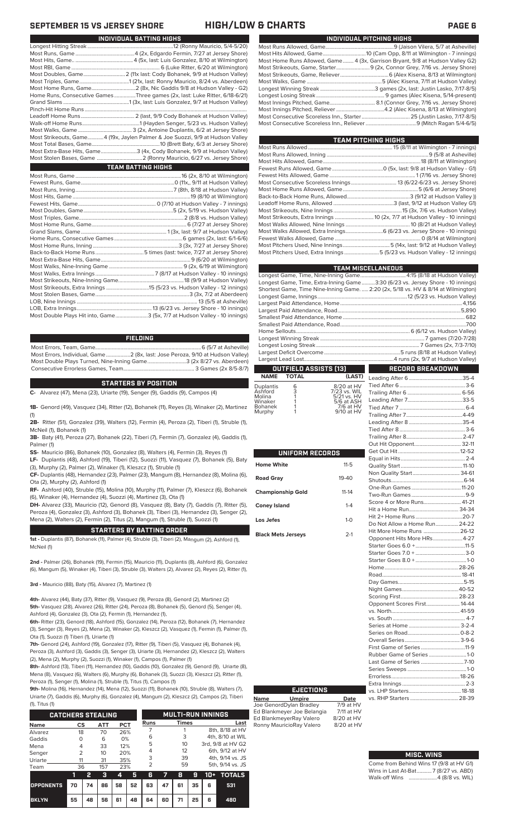|                                                                               | INDIVIDUAL PITCHING HIGHS |
|-------------------------------------------------------------------------------|---------------------------|
|                                                                               |                           |
|                                                                               |                           |
| Most Home Runs Allowed, Game 4 (3x, Garrison Bryant, 9/8 at Hudson Valley G2) |                           |
| Most Strikeouts, Game, Starter 9 (2x, Connor Grey, 7/16 vs. Jersey Shore)     |                           |
|                                                                               |                           |
|                                                                               |                           |
|                                                                               |                           |
|                                                                               |                           |
|                                                                               |                           |
|                                                                               |                           |
|                                                                               |                           |
|                                                                               |                           |
|                                                                               |                           |

| TEAM PITCHING HIGHS                                                        |  |
|----------------------------------------------------------------------------|--|
|                                                                            |  |
|                                                                            |  |
|                                                                            |  |
|                                                                            |  |
|                                                                            |  |
|                                                                            |  |
|                                                                            |  |
|                                                                            |  |
|                                                                            |  |
|                                                                            |  |
| Most Strikeouts, Extra Innings  10 (2x, 7/7 at Hudson Valley - 10 innings) |  |
|                                                                            |  |
| Most Walks Allowed, Extra Innings 6 (6/23 vs. Jersey Shore - 10 innings)   |  |
|                                                                            |  |
|                                                                            |  |
| Most Pitchers Used, Extra Innings 5 (5/23 vs. Hudson Valley - 12 innings)  |  |
|                                                                            |  |

| <b>TEAM MISCELLANEOUS</b>                                                          |                         |
|------------------------------------------------------------------------------------|-------------------------|
| Longest Game, Time, Nine-Inning Game 4:15 (8/18 at Hudson Valley)                  |                         |
| Longest Game, Time, Extra-Inning Game3:30 (6/23 vs. Jersey Shore - 10 innings)     |                         |
| Shortest Game, Time Nine-Inning Game.  2:20 (2x, 5/18 vs. HV & 8/14 at Wilmington) |                         |
|                                                                                    |                         |
|                                                                                    |                         |
|                                                                                    |                         |
|                                                                                    |                         |
|                                                                                    |                         |
|                                                                                    |                         |
|                                                                                    |                         |
|                                                                                    |                         |
|                                                                                    |                         |
|                                                                                    |                         |
| <b>OUTFIELD ASSISTS [13]</b>                                                       | <b>RECORD BREAKDOWN</b> |

Tied After 6...

### **OUTFIELD ASSISTS (13) TOTAL** Leading After 6........................................35-4

| <b>Duplantis</b> | 6 | 8/20 at HV   |
|------------------|---|--------------|
| Ashford          | 3 | 7/23 vs. WIL |
| Molina           |   | 5/21 vs. HV  |
| Winaker          |   | 5/6 at ASH   |
| Bohanek          |   | 7/6 at HV    |
| Murphy           |   | 9/10 at HV   |
|                  |   |              |

| <b>UNIFORM RECORDS</b>    |              |  |  |  |
|---------------------------|--------------|--|--|--|
| <b>Home White</b>         | $11 - 5$     |  |  |  |
| <b>Road Gray</b>          | $19 - 40$    |  |  |  |
| <b>Championship Gold</b>  | $11 - 14$    |  |  |  |
| <b>Coney Island</b>       | $1 - 4$      |  |  |  |
| Los Jefes                 | $1 - \Omega$ |  |  |  |
| <b>Black Mets Jerseys</b> | $2-1$        |  |  |  |

**Name Umpire Date** Joe GenordDylan Bradley 7/9 at HV Ed Blankmeyer Joe Belangia 7/11 at HV Ed BlankmeyerRay Valero 8/20 at HV<br>Ronny MauricioRay Valero 8/20 at HV

**EJECTIONS**

Ronny MauricioRay Valero

| Score 4 or More Runs 41-21    |  |
|-------------------------------|--|
|                               |  |
|                               |  |
| Do Not Allow a Home Run 24-22 |  |
| Hit More Home Runs  26-12     |  |
| Opponent Hits More HRs 4-27   |  |
|                               |  |
|                               |  |
|                               |  |
|                               |  |
|                               |  |
|                               |  |
|                               |  |
|                               |  |
|                               |  |
| Opponent Scores First 14-44   |  |
|                               |  |
|                               |  |
|                               |  |
|                               |  |
|                               |  |
|                               |  |
| First Game of Series11-9      |  |
| Rubber Game of Series 1-0     |  |
|                               |  |
|                               |  |
|                               |  |
|                               |  |
|                               |  |

### **MISC. WINS**

| Come from Behind Wins 17 (9/8 at HV G1) |
|-----------------------------------------|
| Wins in Last At-Bat7 (8/27 vs. ABD)     |
| Walk-off Wins 4 (8/8 vs. WIL)           |

### **SEPTEMBER 15 VS JERSEY SHORE HIGH/LOW & CHARTS PAGE 6**

| INDIVIDUAL BATTING HIGHS                                                      |
|-------------------------------------------------------------------------------|
|                                                                               |
|                                                                               |
|                                                                               |
|                                                                               |
| Most Doubles, Game 2 (11x last: Cody Bohanek, 9/9 at Hudson Valley)           |
|                                                                               |
|                                                                               |
| Home Runs, Consecutive Games Three games (2x, last: Luke Ritter, 6/18-6/21)   |
|                                                                               |
|                                                                               |
|                                                                               |
|                                                                               |
|                                                                               |
| Most Strikeouts, Game4 (19x, Jaylen Palmer & Joe Suozzi, 9/9 at Hudson Valley |
|                                                                               |
| Most Extra-Base Hits, Game3 (4x, Cody Bohanek, 9/9 at Hudson Valley)          |
|                                                                               |
| <b>TEAM BATTING HIGHS</b>                                                     |
|                                                                               |
|                                                                               |
|                                                                               |
|                                                                               |
|                                                                               |
|                                                                               |
|                                                                               |
|                                                                               |
|                                                                               |
|                                                                               |
|                                                                               |
|                                                                               |
|                                                                               |
|                                                                               |
|                                                                               |
|                                                                               |
|                                                                               |
|                                                                               |
|                                                                               |

LOB, Extra Innings........................................................13 (6/23 vs. Jersey Shore - 10 innings) .3 (5x, 7/7 at Hudson Valley - 10 innings)

### **FIELDING**

Most Errors, Team, Game...............................................................................6 (5/7 at Asheville) Most Errors, Individual, Game..................2 (8x, last: Jose Peroza, 9/10 at Hudson Valley) Most Double Plays Turned, Nine-Inning Game.............................3 (2x 8/27 vs. Aberdeen) Consecutive Errorless Games, Team.

### **STARTERS BY POSITION**

**C-** Alvarez (47), Mena (23), Uriarte (19), Senger (9), Gaddis (9), Campos (4)

**1B-** Genord (49), Vasquez (34), Ritter (12), Bohanek (11), Reyes (3), Winaker (2), Martinez (1)

**2B-** Ritter (51), Gonzalez (39), Walters (12), Fermin (4), Peroza (2), Tiberi (1), Struble (1), McNeil (1), Bohanek (1)

**3B-** Baty (41), Peroza (27), Bohanek (22), Tiberi (7), Fermin (7), Gonzalez (4), Gaddis (1), Palmer (1)

**SS-** Mauricio (86), Bohanek (10), Gonzalez (8), Walters (4), Fermin (3), Reyes (1) **LF-** Duplantis (48), Ashford (19), Tiberi (12), Suozzi (11), Vasquez (7), Bohanek (5), Baty

(3), Murphy (2), Palmer (2), Winaker (1), Kleszcz (1), Struble (1) **CF-** Duplantis (48), Hernandez (23), Palmer (23), Mangum (8), Hernandez (8), Molina (6),

Ota (2), Murphy (2), Ashford (1) **RF-** Ashford (40), Struble (15), Molina (10), Murphy (11), Palmer (7), Kleszcz (6), Bohanek (6), Winaker (4), Hernandez (4), Suozzi (4), Martinez (3), Ota (1)

**DH-** Alvarez (33), Mauricio (12), Genord (8), Vasquez (8), Baty (7), Gaddis (7), Ritter (5), Peroza (4), Gonzalez (3), Ashford (3), Bohanek (3), Tiberi (3), Hernandez (3), Senger (2), Mena (2), Walters (2), Fermin (2), Titus (2), Mangum (1), Struble (1), Suozzi (1)

### **STARTERS BY BATTING ORDER**

**1st -** Duplantis (87), Bohanek (11), Palmer (4), Struble (3), Tiberi (2), Mangum (2), Ashford (1), McNeil (1)

**2nd -** Palmer (26), Bohanek (19), Fermin (15), Mauricio (11), Duplantis (8), Ashford (6), Gonzalez (6), Mangum (5), Winaker (4), Tiberi (3), Struble (3), Walters (2), Alvarez (2), Reyes (2), Ritter (1),

**3rd -** Mauricio (88), Baty (15), Alvarez (7), Martinez (1)

**4th-** Alvarez (44), Baty (37), Ritter (9), Vasquez (9), Peroza (8), Genord (2), Martinez (2) **5th-** Vasquez (28), Alvarez (26), Ritter (24), Peroza (8), Bohanek (5), Genord (5), Senger (4), Ashford (4), Gonzalez (3), Ota (2), Fermin (1), Hernandez (1),

**6th-** Ritter (23), Genord (18), Ashford (15), Gonzalez (14), Peroza (12), Bohanek (7), Hernandez (3), Senger (3), Reyes (2), Mena (2), Winaker (2), Kleszcz (2), Vasquez (1), Fermin (1), Palmer (1), Ota (1), Suozzi (1) Tiberi (1), Uriarte (1)

**7th-** Genord (24), Ashford (19), Gonzalez (17), Ritter (9), Tiberi (5), Vasquez (4), Bohanek (4), Peroza (3), Ashford (3), Gaddis (3), Senger (3), Uriarte (3), Hernandez (2), Kleszcz (2), Walters (2), Mena (2), Murphy (2), Suozzi (1), Winaker (1), Campos (1), Palmer (1)

**8th-** Ashford (13), Tiberi (11), Hernandez (10), Gaddis (10), Gonzalez (9), Genord (9), Uriarte (8), Mena (8), Vasquez (6), Walters (6), Murphy (6), Bohanek (3), Suozzi (3), Kleszcz (2), Ritter (1), Peroza (1), Senger (1), Molina (1), Struble (1), Titus (1), Campos (1)

**9th-** Molina (16), Hernandez (14), Mena (12), Suozzi (11), Bohanek (10), Struble (8), Walters (7), Uriarte (7), Gaddis (6), Murphy (6), Gonzalez (4), Mangum (2), Kleszcz (2), Campos (2), Tiberi (1), Titus (1)

| <b>CATCHERS STEALING</b> |               |    |            |     |    |                |    |              |    | <b>MULTI-RUN INNINGS</b> |                   |
|--------------------------|---------------|----|------------|-----|----|----------------|----|--------------|----|--------------------------|-------------------|
| <b>Name</b>              | CS            |    | <b>ATT</b> | PCT |    | <b>Runs</b>    |    | <b>Times</b> |    |                          | Last              |
| Alvarez                  | 18            |    | 70         | 26% |    |                |    |              |    |                          | 8th, 8/18 at HV   |
| Gaddis                   | $\Omega$      |    | 6          | 0%  |    | 6              |    | 3            |    | 4th, 8/10 at WIL         |                   |
| Mena                     | 4             |    | 33         | 12% |    | 5              |    | 10           |    |                          | 3rd, 9/8 at HV G2 |
| Senger                   | $\mathcal{P}$ |    | 10         | 20% |    | 4              |    | 12           |    | 6th, 9/12 at HV          |                   |
| Uriarte                  | 11            |    | 31         | 35% |    | 3              |    | 39           |    | 4th, 9/14 vs. JS         |                   |
| Team                     | 36            |    | 157        | 23% |    | $\overline{2}$ |    | 59           |    |                          | 5th, 9/14 vs. JS  |
|                          | 1             | 2  | з          | 4   | 5  | 6              | 7  | 8            | 9  | $10+$                    | <b>TOTALS</b>     |
| <b>OPPONENTS</b>         | 70            | 74 | 86         | 58  | 52 | 63             | 47 | 61           | 35 | 6                        | 531               |
| <b>BKLYN</b>             | 55            | 48 | 56         | 61  | 48 | 64             | 60 | 71           | 25 | 6                        | 480               |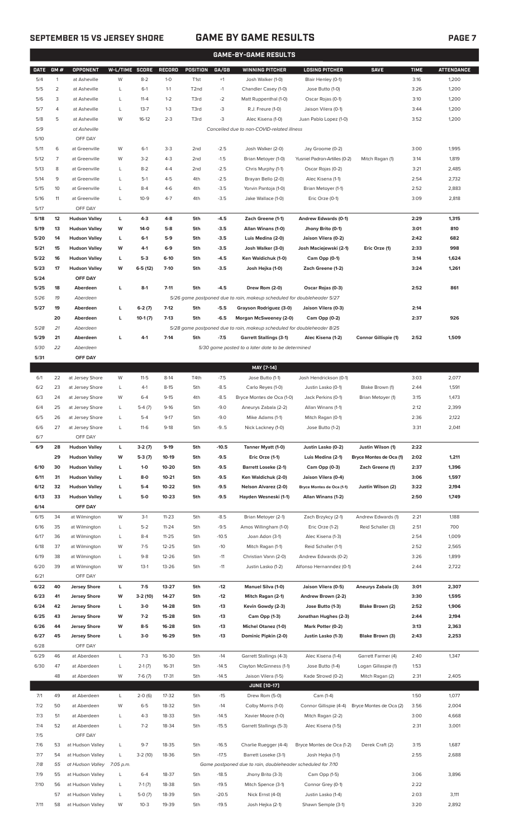## **SEPTEMBER 15 VS JERSEY SHORE GAME BY GAME RESULTS PAGE 7**

| <b>GAME-BY-GAME RESULTS</b> |                |                      |                       |           |               |                   |         |                                                                         |                               |                         |             |                   |
|-----------------------------|----------------|----------------------|-----------------------|-----------|---------------|-------------------|---------|-------------------------------------------------------------------------|-------------------------------|-------------------------|-------------|-------------------|
| <b>DATE</b>                 | GM#            | <b>OPPONENT</b>      | <b>W-L/TIME SCORE</b> |           | <b>RECORD</b> | <b>POSITION</b>   | GA/GB   | <b>WINNING PITCHER</b>                                                  | <b>LOSING PITCHER</b>         | <b>SAVE</b>             | <b>TIME</b> | <b>ATTENDANCE</b> |
| 5/4                         | $\mathbf{1}$   | at Asheville         | W                     | $8 - 2$   | $1-0$         | T <sub>1st</sub>  | $+1$    | Josh Walker (1-0)                                                       | Blair Henley (0-1)            |                         | 3:16        | 1,200             |
|                             |                |                      |                       |           |               |                   |         |                                                                         |                               |                         |             |                   |
| 5/5                         | $\overline{2}$ | at Asheville         | L                     | $6-1$     | $1 - 1$       | T <sub>2</sub> nd | $-1$    | Chandler Casey (1-0)                                                    | Jose Butto (1-0)              |                         | 3:26        | 1,200             |
| 5/6                         | 3              | at Asheville         | L                     | $11 - 4$  | $1 - 2$       | T3rd              | $-2$    | Matt Ruppenthal (1-0)                                                   | Oscar Rojas (0-1)             |                         | 3:10        | 1,200             |
| 5/7                         | 4              | at Asheville         | $\mathsf{L}$          | $13 - 7$  | $1 - 3$       | T3rd              | $-3$    | R.J. Freure (1-0)                                                       | Jaison Vilera (0-1)           |                         | 3:44        | 1,200             |
| 5/8                         | 5              | at Asheville         | W                     | $16-12$   | $2 - 3$       | T3rd              | $-3$    | Alec Kisena (1-0)                                                       | Juan Pablo Lopez (1-0)        |                         | 3:52        | 1,200             |
| 5/9                         |                | at Asheville         |                       |           |               |                   |         | Cancelled due to non-COVID-related illness                              |                               |                         |             |                   |
| 5/10                        |                | OFF DAY              |                       |           |               |                   |         |                                                                         |                               |                         |             |                   |
| 5/11                        | 6              | at Greenville        | W                     | $6-1$     | $3-3$         | 2 <sub>nd</sub>   | $-2.5$  | Josh Walker (2-0)                                                       | Jay Groome (0-2)              |                         | 3:00        | 1,995             |
| 5/12                        | $\overline{7}$ | at Greenville        | W                     | $3 - 2$   | $4 - 3$       | 2 <sub>nd</sub>   | $-1.5$  | Brian Metoyer (1-0)                                                     | Yusniel Padron-Artilles (0-2) | Mitch Ragan (1)         | 3:14        | 1,819             |
| 5/13                        | 8              | at Greenville        | L                     | $8 - 2$   | $4 - 4$       | 2 <sub>nd</sub>   | $-2.5$  | Chris Murphy (1-1)                                                      | Oscar Rojas (0-2)             |                         | 3:21        | 2,485             |
| 5/14                        | 9              | at Greenville        | L                     | $5-1$     | $4 - 5$       | 4th               | $-2.5$  | Brayan Bello (2-0)                                                      | Alec Kisena (1-1)             |                         | 2:54        | 2,732             |
|                             |                |                      |                       |           |               |                   |         |                                                                         |                               |                         |             |                   |
| 5/15                        | 10             | at Greenville        | L                     | $8 - 4$   | $4 - 6$       | 4th               | $-3.5$  | Yorvin Pantoja (1-0)                                                    | Brian Metoyer (1-1)           |                         | 2:52        | 2,883             |
| 5/16                        | 11             | at Greenville        | L                     | $10-9$    | $4 - 7$       | 4th               | $-3.5$  | Jake Wallace (1-0)                                                      | Eric Orze (0-1)               |                         | 3:09        | 2,818             |
| 5/17                        |                | OFF DAY              |                       |           |               |                   |         |                                                                         |                               |                         |             |                   |
| 5/18                        | 12             | <b>Hudson Valley</b> | L                     | $4 - 3$   | $4 - 8$       | 5th               | $-4.5$  | Zach Greene (1-1)                                                       | Andrew Edwards (0-1)          |                         | 2:29        | 1,315             |
| 5/19                        | 13             | <b>Hudson Valley</b> | W                     | $14-0$    | $5-8$         | 5th               | $-3.5$  | Allan Winans (1-0)                                                      | Jhony Brito (0-1)             |                         | 3:01        | 810               |
| 5/20                        | 14             | <b>Hudson Valley</b> | L                     | $6-1$     | $5-9$         | 5th               | $-3.5$  | Luis Medina (2-0)                                                       | Jaison Vilera (0-2)           |                         | 2:42        | 682               |
| 5/21                        | 15             | <b>Hudson Valley</b> | W                     | $4-1$     | $6-9$         | 5th               | $-3.5$  | Josh Walker (3-0)                                                       | Josh Maciejewski (2-1)        | Eric Orze (1)           | 2:33        | 998               |
| 5/22                        | 16             | <b>Hudson Valley</b> | L                     | $5-3$     | $6-10$        | 5th               | $-4.5$  | Ken Waldichuk (1-0)                                                     | Cam Opp (0-1)                 |                         | 3:14        | 1,624             |
| 5/23                        | 17             | <b>Hudson Valley</b> | W                     | $6-5(12)$ | $7-10$        | 5th               | $-3.5$  | Josh Hejka (1-0)                                                        | Zach Greene (1-2)             |                         | 3:24        | 1,261             |
| 5/24                        |                | OFF DAY              |                       |           |               |                   |         |                                                                         |                               |                         |             |                   |
|                             |                |                      |                       |           |               |                   |         |                                                                         |                               |                         |             |                   |
| 5/25                        | 18             | Aberdeen             | L                     | $8-1$     | $7 - 11$      | 5th               | $-4.5$  | Drew Rom (2-0)                                                          | Oscar Rojas (0-3)             |                         | 2:52        | 861               |
| 5/26                        | 19             | Aberdeen             |                       |           |               |                   |         | 5/26 game postponed due to rain, makeup scheduled for doubleheader 5/27 |                               |                         |             |                   |
| 5/27                        | 19             | Aberdeen             | г                     | $6-2(7)$  | $7-12$        | 5th               | $-5.5$  | Grayson Rodriguez (3-0)                                                 | Jaison Vilera (0-3)           |                         | 2:14        |                   |
|                             | 20             | Aberdeen             | L                     | $10-1(7)$ | $7-13$        | 5th               | $-6.5$  | Morgan McSweeney (2-0)                                                  | Cam Opp (0-2)                 |                         | 2:37        | 926               |
| 5/28                        | 21             | Aberdeen             |                       |           |               |                   |         | 5/28 game postponed due to rain, makeup scheduled for doubleheader 8/25 |                               |                         |             |                   |
| 5/29                        | 21             | Aberdeen             | г                     | $4-1$     | $7-14$        | 5th               | $-7.5$  | <b>Garrett Stallings (3-1)</b>                                          | Alec Kisena (1-2)             | Connor Gillispie (1)    | 2:52        | 1,509             |
| 5/30                        | 22             | Aberdeen             |                       |           |               |                   |         | 5/30 game posted to a later date to be determined                       |                               |                         |             |                   |
| 5/31                        |                | OFF DAY              |                       |           |               |                   |         |                                                                         |                               |                         |             |                   |
|                             |                |                      |                       |           |               |                   |         | MAY [7-14]                                                              |                               |                         |             |                   |
|                             |                |                      | W                     |           | $8-14$        |                   |         | Jose Butto (1-1)                                                        |                               |                         |             | 2,077             |
| 6/1                         | 22             | at Jersey Shore      |                       | $11 - 5$  |               | T4th              | $-7.5$  |                                                                         | Josh Hendrickson (0-1)        |                         | 3:03        |                   |
| 6/2                         | 23             | at Jersey Shore      | L                     | $4-1$     | $8 - 15$      | 5th               | $-8.5$  | Carlo Reyes (1-0)                                                       | Justin Lasko (0-1)            | Blake Brown (1)         | 2:44        | 1,591             |
| 6/3                         | 24             | at Jersey Shore      | W                     | $6 - 4$   | $9 - 15$      | 4th               | $-8.5$  | Bryce Montes de Oca (1-0)                                               | Jack Perkins (0-1)            | Brian Metoyer (1)       | 3:15        | 1,473             |
| 6/4                         | 25             | at Jersey Shore      | L                     | $5-4(7)$  | $9-16$        | 5th               | $-9.0$  | Aneurys Zabala (2-2)                                                    | Allan Winans (1-1)            |                         | 2:12        | 2,399             |
| 6/5                         | 26             | at Jersey Shore      | L                     | $5 - 4$   | $9 - 17$      | 5th               | $-9.0$  | Mike Adams (1-1)                                                        | Mitch Ragan (0-1)             |                         | 2:36        | 2,122             |
| 6/6                         | 27             | at Jersey Shore      | L                     | $11-6$    | $9-18$        | 5th               | $-9.5$  | Nick Lackney (1-0)                                                      | Jose Butto (1-2)              |                         | 3:31        | 2,041             |
| 6/7                         |                | OFF DAY              |                       |           |               |                   |         |                                                                         |                               |                         |             |                   |
| 6/9                         | 28             | <b>Hudson Valley</b> | L                     | $3-2(7)$  | $9-19$        | 5th               | $-10.5$ | Tanner Myatt (1-0)                                                      | Justin Lasko (0-2)            | Justin Wilson (1)       | 2:22        |                   |
|                             | 29             | <b>Hudson Valley</b> | W                     | $5-3(7)$  | 10-19         | 5th               | $-9.5$  | Eric Orze (1-1)                                                         | Luis Medina (2-1)             | Bryce Montes de Oca (1) | 2:02        | 1,211             |
| 6/10                        | 30             | <b>Hudson Valley</b> | L                     | $1-0$     | 10-20         | 5th               | $-9.5$  | <b>Barrett Loseke (2-1)</b>                                             | Cam Opp (0-3)                 | Zach Greene (1)         | 2:37        | 1,396             |
|                             |                |                      |                       |           |               |                   |         |                                                                         |                               |                         |             |                   |
| 6/11                        | 31             | <b>Hudson Valley</b> | L                     | 8-0       | $10 - 21$     | 5th               | $-9.5$  | Ken Waldichuk (2-0)                                                     | Jaison Vilera (0-4)           |                         | 3:06        | 1,597             |
| 6/12                        | 32             | <b>Hudson Valley</b> | L                     | $5-4$     | 10-22         | 5th               | $-9.5$  | <b>Nelson Alvarez (2-0)</b>                                             | Bryce Montes de Oca (1-1)     | Justin Wilson (2)       | 3:22        | 2,194             |
| 6/13                        | 33             | <b>Hudson Valley</b> | L                     | 5-0       | $10 - 23$     | 5th               | $-9.5$  | Hayden Wesneski (1-1)                                                   | Allan Winans (1-2)            |                         | 2:50        | 1,749             |
| 6/14                        |                | OFF DAY              |                       |           |               |                   |         |                                                                         |                               |                         |             |                   |
| 6/15                        | 34             | at Wilmington        | W                     | $3-1$     | $11 - 23$     | 5th               | $-8.5$  | Brian Metoyer (2-1)                                                     | Zach Brzykcy (2-1)            | Andrew Edwards (1)      | 2:21        | 1,188             |
| 6/16                        | 35             | at Wilmington        | L                     | $5 - 2$   | $11 - 24$     | 5th               | $-9.5$  | Amos Willingham (1-0)                                                   | Eric Orze (1-2)               | Reid Schaller (3)       | 2:51        | 700               |
| 6/17                        | 36             | at Wilmington        | L                     | $8 - 4$   | $11 - 25$     | 5th               | $-10.5$ | Joan Adon (3-1)                                                         | Alec Kisena (1-3)             |                         | 2:54        | 1,009             |
| 6/18                        | 37             | at Wilmington        | W                     | $7 - 5$   | $12 - 25$     | 5th               | $-10$   | Mitch Ragan (1-1)                                                       | Reid Schaller (1-1)           |                         | 2:52        | 2,565             |
| 6/19                        | 38             | at Wilmington        | L                     | $9 - 8$   | 12-26         | 5th               | $-11$   | Christian Vann (2-0)                                                    | Andrew Edwards (0-2)          |                         | 3:26        | 1,899             |
| 6/20                        | 39             | at Wilmington        | W                     | $13-1$    | $13 - 26$     | 5th               | $-11$   | Justin Lasko (1-2)                                                      | Alfonso Hernanndez (0-1)      |                         | 2:44        | 2,722             |
|                             |                |                      |                       |           |               |                   |         |                                                                         |                               |                         |             |                   |
| 6/21                        |                | OFF DAY              |                       |           |               |                   |         |                                                                         |                               |                         |             |                   |
| 6/22                        | 40             | <b>Jersey Shore</b>  | L                     | $7-5$     | 13-27         | 5th               | $-12$   | <b>Manuel Silva (1-0)</b>                                               | Jaison Vilera (0-5)           | Aneurys Zabala (3)      | 3:01        | 2,307             |
| 6/23                        | 41             | <b>Jersey Shore</b>  | W                     | 3-2 (10)  | 14-27         | 5th               | $-12$   | Mitch Ragan (2-1)                                                       | Andrew Brown (2-2)            |                         | 3:30        | 1,595             |
| 6/24                        | 42             | <b>Jersey Shore</b>  | L                     | $3-0$     | 14-28         | 5th               | $-13$   | Kevin Gowdy (2-3)                                                       | Jose Butto (1-3)              | Blake Brown (2)         | 2:52        | 1,906             |
| 6/25                        | 43             | <b>Jersey Shore</b>  | W                     | $7-2$     | 15-28         | 5th               | $-13$   | Cam Opp (1-3)                                                           | Jonathan Hughes (2-3)         |                         | 2:44        | 2,194             |
| 6/26                        | 44             | <b>Jersey Shore</b>  | W                     | $8-5$     | 16-28         | 5th               | $-13$   | Michel Otanez (1-0)                                                     | Mark Potter (0-2)             |                         | 3:13        | 2,363             |
| 6/27                        | 45             | <b>Jersey Shore</b>  | L                     | $3-0$     | 16-29         | 5th               | $-13$   | Dominic Pipkin (2-0)                                                    | Justin Lasko (1-3)            | Blake Brown (3)         | 2:43        | 2,253             |
| 6/28                        |                | OFF DAY              |                       |           |               |                   |         |                                                                         |                               |                         |             |                   |
| 6/29                        | 46             | at Aberdeen          | L                     | $7-3$     | 16-30         | 5th               | $-14$   | Garrett Stallings (4-3)                                                 | Alec Kisena (1-4)             | Garrett Farmer (4)      | 2:40        | 1,347             |
| 6/30                        | 47             | at Aberdeen          | L                     | $2-1(7)$  | 16-31         | 5th               | $-14.5$ | Clayton McGinness (1-1)                                                 | Jose Butto (1-4)              | Logan Gillaspie (1)     | 1:53        |                   |
|                             |                |                      |                       |           |               |                   |         |                                                                         |                               |                         |             |                   |
|                             | 48             | at Aberdeen          | W                     | $7-6(7)$  | $17 - 31$     | 5th               | $-14.5$ | Jaison Vilera (1-5)                                                     | Kade Strowd (0-2)             | Mitch Ragan (2)         | 2:31        | 2,405             |
|                             |                |                      |                       |           |               |                   |         | <b>JUNE [10-17]</b>                                                     |                               |                         |             |                   |
| 7/1                         | 49             | at Aberdeen          | L                     | $2-0(6)$  | 17-32         | 5th               | $-15$   | Drew Rom (5-0)                                                          | Cam (1-4)                     |                         | 1:50        | 1,077             |
| 7/2                         | 50             | at Aberdeen          | W                     | $6 - 5$   | 18-32         | 5th               | $-14$   | Colby Morris (1-0)                                                      | Connor Gillispie (4-4)        | Bryce Montes de Oca (2) | 3:56        | 2,004             |
| 7/3                         | 51             | at Aberdeen          | L                     | $4 - 3$   | 18-33         | 5th               | $-14.5$ | Xavier Moore (1-0)                                                      | Mitch Ragan (2-2)             |                         | 3:00        | 4,668             |
| 7/4                         | 52             | at Aberdeen          | L                     | $7 - 2$   | 18-34         | 5th               | $-15.5$ | Garrett Stallings (5-3)                                                 | Alec Kisena (1-5)             |                         | 2:31        | 3,001             |
| 7/5                         |                | OFF DAY              |                       |           |               |                   |         |                                                                         |                               |                         |             |                   |
| 7/6                         | 53             | at Hudson Valley     | L                     | $9 - 7$   | 18-35         | 5th               | $-16.5$ | Charlie Ruegger (4-4)                                                   | Bryce Montes de Oca (1-2)     | Derek Craft (2)         | 3:15        | 1,687             |
| 7/7                         | 54             | at Hudson Valley     | L                     | $3-2(10)$ | 18-36         | 5th               | $-17.5$ | Barrett Loseke (3-1)                                                    | Josh Hejka (1-1)              |                         | 2:55        | 2,688             |
| 7/8                         | 55             | at Hudson Valley     | 7:05 p.m.             |           |               |                   |         | Game postponed due to rain, doubleheader scheduled for 7/10             |                               |                         |             |                   |
|                             |                | at Hudson Valley     |                       |           |               |                   |         |                                                                         |                               |                         |             |                   |
| 7/9                         | 55             |                      | L                     | $6 - 4$   | 18-37         | 5th               | $-18.5$ | Jhony Brito (3-3)                                                       | Cam Opp (1-5)                 |                         | 3:06        | 3,896             |
| 7/10                        | 56             | at Hudson Valley     | L                     | $7-1(7)$  | 18-38         | 5th               | $-19.5$ | Mitch Spence (3-1)                                                      | Connor Grey (0-1)             |                         | 2:22        |                   |
|                             | 57             | at Hudson Valley     | L                     | $5-0(7)$  | 18-39         | 5th               | $-20.5$ | Nick Ernst (4-0)                                                        | Justin Lasko (1-4)            |                         | 2:03        | 3,111             |

7/11 58 at Hudson Valley W 10-3 19-39 5th -19.5 Josh Hejka (2-1) Shawn Semple (3-1) 3:20 2,892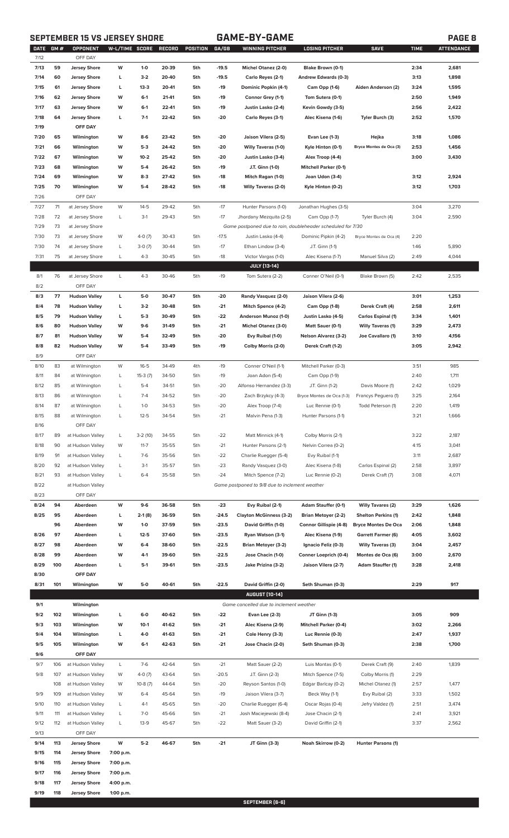## **SEPTEMBER 15 VS JERSEY SHORE GAME-BY-GAME PAGE 8**

| <b>DATE</b><br>7/12 | GM # | OPPONENT<br>OFF DAY  | W-L/TIME SCORE |           | RECORD | POSITION | GA/GB   | WINNING PITCHER                                             | LOSING PITCHER               | <b>SAVE</b>                | <b>TIME</b> | <b>ATTENDANCE</b> |
|---------------------|------|----------------------|----------------|-----------|--------|----------|---------|-------------------------------------------------------------|------------------------------|----------------------------|-------------|-------------------|
|                     |      |                      |                |           |        |          |         |                                                             |                              |                            |             |                   |
| 7/13                | 59   | <b>Jersey Shore</b>  | W              | $1-0$     | 20-39  | 5th      | $-19.5$ | Michel Otanez (2-0)                                         | Blake Brown (0-1)            |                            | 2:34        | 2,681             |
| 7/14                | 60   | <b>Jersey Shore</b>  | L              | $3-2$     | 20-40  | 5th      | $-19.5$ | Carlo Reyes (2-1)                                           | Andrew Edwards (0-3)         |                            | 3:13        | 1,898             |
| 7/15                | 61   | <b>Jersey Shore</b>  | L              | $13-3$    | 20-41  | 5th      | $-19$   | Dominic Popkin (4-1)                                        | Cam Opp (1-6)                | Aiden Anderson (2)         | 3:24        | 1,595             |
| 7/16                | 62   | <b>Jersey Shore</b>  | W              | $6-1$     | 21-41  | 5th      | -19     | Connor Grey (1-1)                                           | Tom Sutera (0-1)             |                            | 2:50        | 1,949             |
| 7/17                | 63   | <b>Jersey Shore</b>  | W              | $6-1$     | 22-41  | 5th      | $-19$   | Justin Lasko (2-4)                                          | Kevin Gowdy (3-5)            |                            | 2:56        | 2,422             |
| 7/18                | 64   | <b>Jersey Shore</b>  | L              | $7-1$     | 22-42  | 5th      | $-20$   | Carlo Reyes (3-1)                                           | Alec Kisena (1-6)            | Tyler Burch (3)            | 2:52        | 1,570             |
| 7/19                |      | OFF DAY              |                |           |        |          |         |                                                             |                              |                            |             |                   |
| 7/20                | 65   | Wilmington           | W              | 8-6       | 23-42  | 5th      | -20     | Jaison Vilera (2-5)                                         | Evan Lee (1-3)               | Hejka                      | 3:18        | 1,086             |
| 7/21                | 66   | Wilmington           | W              | $5-3$     | 24-42  | 5th      | -20     | <b>Willy Taveras (1-0)</b>                                  | Kyle Hinton (0-1)            | Bryce Montes de Oca (3)    | 2:53        | 1,456             |
|                     |      |                      |                |           |        |          |         |                                                             |                              |                            |             |                   |
| 7/22                | 67   | Wilmington           | W              | $10 - 2$  | 25-42  | 5th      | -20     | Justin Lasko (3-4)                                          | Alex Troop (4-4)             |                            | 3:00        | 3,430             |
| 7/23                | 68   | Wilmington           | W              | $5-4$     | 26-42  | 5th      | $-19$   | J.T. Ginn (1-0)                                             | <b>Mitchell Parker (0-1)</b> |                            |             |                   |
| 7/24                | 69   | Wilmington           | W              | $8-3$     | 27-42  | 5th      | $-18$   | Mitch Ragan (1-0)                                           | Joan Udon (3-4)              |                            | 3:12        | 2,924             |
| 7/25                | 70   | Wilmington           | W              | $5-4$     | 28-42  | 5th      | $-18$   | <b>Willy Taveras (2-0)</b>                                  | Kyle Hinton (0-2)            |                            | 3:12        | 1,703             |
| 7/26                |      | OFF DAY              |                |           |        |          |         |                                                             |                              |                            |             |                   |
| 7/27                | 71   | at Jersey Shore      | W              | $14 - 5$  | 29-42  | 5th      | $-17$   | Hunter Parsons (1-0)                                        | Jonathan Hughes (3-5)        |                            | 3:04        | 3,270             |
| 7/28                | 72   | at Jersey Shore      | L              | $3-1$     | 29-43  | 5th      | $-17$   | Jhordany Mezquita (2-5)                                     | Cam Opp (1-7)                | Tyler Burch (4)            | 3:04        | 2,590             |
| 7/29                | 73   | at Jersey Shore      |                |           |        |          |         | Game postponed due to rain, doubleheader scheduled for 7/30 |                              |                            |             |                   |
| 7/30                | 73   | at Jersey Shore      | W              | $4-0(7)$  | 30-43  | 5th      | $-17.5$ | Justin Lasko (4-4)                                          | Dominic Pipkin (4-2)         | Bryce Montes de Oca (4)    | 2:20        |                   |
| 7/30                | 74   | at Jersey Shore      | L              | $3-0(7)$  | 30-44  | 5th      | $-17$   | Ethan Lindow (3-4)                                          | J.T. Ginn (1-1)              |                            | 1:46        | 5,890             |
| 7/31                | 75   | at Jersey Shore      | L              | $4 - 3$   | 30-45  | 5th      | $-18$   | Victor Vargas (1-0)                                         | Alec Kisena (1-7)            | Manuel Silva (2)           | 2:49        | 4,044             |
|                     |      |                      |                |           |        |          |         |                                                             |                              |                            |             |                   |
|                     |      |                      |                |           |        |          |         | <b>JULY [13-14]</b>                                         |                              |                            |             |                   |
| 8/1                 | 76   | at Jersey Shore      | L              | $4 - 3$   | 30-46  | 5th      | $-19$   | Tom Sutera (2-2)                                            | Conner O'Neil (0-1)          | Blake Brown (5)            | 2:42        | 2,535             |
| 8/2                 |      | OFF DAY              |                |           |        |          |         |                                                             |                              |                            |             |                   |
| 8/3                 | 77   | <b>Hudson Valley</b> | L              | 5-0       | 30-47  | 5th      | -20     | Randy Vasquez (2-0)                                         | Jaison Vilera (2-6)          |                            | 3:01        | 1,253             |
| 8/4                 | 78   | <b>Hudson Valley</b> | L              | $3-2$     | 30-48  | 5th      | $-21$   | Mitch Spence (4-2)                                          | Cam Opp (1-8)                | Derek Craft (4)            | 2:58        | 2,611             |
| 8/5                 | 79   | <b>Hudson Valley</b> | L              | $5-3$     | 30-49  | 5th      | $-22$   | Anderson Munoz (1-0)                                        | Justin Lasko (4-5)           | Carlos Espinal (1)         | 3:34        | 1,401             |
| 8/6                 | 80   | <b>Hudson Valley</b> | W              | $9-6$     | 31-49  | 5th      | $-21$   | <b>Michel Otanez (3-0)</b>                                  | Matt Sauer (0-1)             | <b>Willy Taveras (1)</b>   | 3:29        | 2,473             |
| 8/7                 | 81   | <b>Hudson Valley</b> | W              | $5 - 4$   | 32-49  | 5th      | -20     | Evy Ruibal (1-0)                                            | <b>Nelson Alvarez (3-2)</b>  | Joe Cavallaro (1)          | 3:10        | 4,156             |
| 8/8                 | 82   | <b>Hudson Valley</b> | W              | $5 - 4$   | 33-49  | 5th      | $-19$   | Colby Morris (2-0)                                          | Derek Craft (1-2)            |                            | 3:05        | 2,942             |
| 8/9                 |      | OFF DAY              |                |           |        |          |         |                                                             |                              |                            |             |                   |
|                     |      |                      |                |           |        |          |         |                                                             |                              |                            |             | 985               |
| 8/10                | 83   | at Wilmington        | W              | $16 - 5$  | 34-49  | 4th      | $-19$   | Conner O'Neil (1-1)                                         | Mitchell Parker (0-3)        |                            | 3:51        |                   |
| 8/11                | 84   | at Wilmington        | L              | 15-3 (7)  | 34-50  | 5th      | $-19$   | Joan Adon (5-4)                                             | Cam Opp (1-9)                |                            | 2:40        | 1,711             |
| 8/12                | 85   | at Wilmington        | L              | $5-4$     | 34-51  | 5th      | $-20$   | Alfonso Hernandez (3-3)                                     | J.T. Ginn (1-2)              | Davis Moore (1)            | 2:42        | 1,029             |
| 8/13                | 86   | at Wilmington        | L              | $7 - 4$   | 34-52  | 5th      | $-20$   | Zach Brzykcy (4-3)                                          | Bryce Montes de Oca (1-3)    | Francys Peguero (1)        | 3:25        | 2,164             |
| 8/14                | 87   | at Wilmington        | L              | $1 - 0$   | 34-53  | 5th      | $-20$   | Alex Troop (7-4)                                            | Luc Rennie (0-1)             | Todd Peterson (1)          | 2:20        | 1,419             |
| 8/15                | 88   | at Wilmington        | L              | $12 - 5$  | 34-54  | 5th      | $-21$   | Malvin Pena (1-3)                                           | Hunter Parsons (1-1)         |                            | 3:21        | 1,666             |
| 8/16                |      | OFF DAY              |                |           |        |          |         |                                                             |                              |                            |             |                   |
| 8/17                | 89   | at Hudson Valley     | L              | $3-2(10)$ | 34-55  | 5th      | $-22$   | Matt Minnick (4-1)                                          | Colby Morris (2-1)           |                            | 3:22        | 2,187             |
| 8/18                | 90   | at Hudson Valley     | W              | $11 - 7$  | 35-55  | 5th      | $-21$   | Hunter Parsons (2-1)                                        | Nelvin Correa (0-2)          |                            | 4:15        | 3,041             |
| 8/19                | 91   | at Hudson Valley     | L              | $7-6$     | 35-56  | 5th      | $-22$   | Charlie Ruegger (5-4)                                       | Evy Ruibal (1-1)             |                            | 3:11        | 2,687             |
|                     |      |                      |                |           |        |          | $-23$   |                                                             |                              |                            | 2:58        | 3,897             |
| 8/20                | 92   | at Hudson Valley     | L              | $3-1$     | 35-57  | 5th      |         | Randy Vasquez (3-0)                                         | Alec Kisena (1-8)            | Carlos Espinal (2)         |             |                   |
| 8/21                | 93   | at Hudson Valley     | L              | $6 - 4$   | 35-58  | 5th      | $-24$   | Mitch Spence (7-2)                                          | Luc Rennie (0-2)             | Derek Craft (7)            | 3:08        | 4,071             |
| 8/22                |      | at Hudson Valley     |                |           |        |          |         | Game postponed to 9/8 due to inclement weather              |                              |                            |             |                   |
| 8/23                |      | OFF DAY              |                |           |        |          |         |                                                             |                              |                            |             |                   |
| 8/24                | 94   | Aberdeen             | W              | $9-6$     | 36-58  | 5th      | $-23$   | Evy Ruibal (2-1)                                            | <b>Adam Stauffer (0-1)</b>   | <b>Willy Tavares (2)</b>   | 3:29        | 1,626             |
| 8/25                | 95   | Aberdeen             | L              | $2-1(8)$  | 36-59  | 5th      | $-24.5$ | <b>Clayton McGinness (3-2)</b>                              | <b>Brian Metoyer (2-2)</b>   | <b>Shelton Perkins (1)</b> | 2:42        | 1,848             |
|                     | 96   | Aberdeen             | W              | $1-0$     | 37-59  | 5th      | $-23.5$ | David Griffin (1-0)                                         | Connor Gillispie (4-8)       | <b>Bryce Montes De Oca</b> | 2:06        | 1,848             |
| 8/26                | 97   | Aberdeen             | L              | $12 - 5$  | 37-60  | 5th      | $-23.5$ | Ryan Watson (3-1)                                           | Alec Kisena (1-9)            | Garrett Farmer (6)         | 4:05        | 3,602             |
| 8/27                | 98   | Aberdeen             | W              | 6-4       | 38-60  | 5th      | $-22.5$ | <b>Brian Metoyer (3-2)</b>                                  | Ignacio Feliz (0-3)          | <b>Willy Taveras (3)</b>   | 3:04        | 2,457             |
| 8/28                | 99   | Aberdeen             | W              | $4-1$     | 39-60  | 5th      | $-22.5$ | Jose Chacin (1-0)                                           | Conner Loeprich (0-4)        | Montes de Oca (6)          | 3:00        | 2,670             |
| 8/29                | 100  | Aberdeen             | L              | $5-1$     | 39-61  | 5th      | $-23.5$ | Jake Prizina (3-2)                                          | Jaison Vilera (2-7)          | <b>Adam Stauffer (1)</b>   | 3:28        | 2,418             |
|                     |      |                      |                |           |        |          |         |                                                             |                              |                            |             |                   |
| 8/30                |      | OFF DAY              |                |           |        |          |         |                                                             |                              |                            |             |                   |
| 8/31                | 101  | Wilmington           | W              | 5-0       | 40-61  | 5th      | $-22.5$ | David Griffin (2-0)                                         | Seth Shuman (0-3)            |                            | 2:29        | 917               |
|                     |      |                      |                |           |        |          |         | <b>AUGUST [10-14]</b>                                       |                              |                            |             |                   |
| 9/1                 |      | Wilmington           |                |           |        |          |         | Game cancelled due to inclement weather                     |                              |                            |             |                   |
| 9/2                 | 102  | Wilmington           | L              | $6-0$     | 40-62  | 5th      | $-22$   | <b>Evan Lee (2-3)</b>                                       | JT Ginn (1-3)                |                            | 3:05        | 909               |
| 9/3                 | 103  | Wilmington           | W              | $10-1$    | 41-62  | 5th      | $-21$   | Alec Kisena (2-9)                                           | <b>Mitchell Parker (0-4)</b> |                            | 3:02        | 2,266             |
| 9/4                 | 104  | Wilmington           | L              | 4-0       | 41-63  | 5th      | $-21$   | Cole Henry (3-3)                                            | Luc Rennie (0-3)             |                            | 2:47        | 1,937             |
| 9/5                 | 105  | Wilmington           | W              | $6-1$     | 42-63  | 5th      | $-21$   | Jose Chacin (2-0)                                           | Seth Shuman (0-3)            |                            | 2:38        | 1,700             |
| 9/6                 |      | OFF DAY              |                |           |        |          |         |                                                             |                              |                            |             |                   |
| 9/7                 | 106  | at Hudson Valley     | L              | $7-6$     | 42-64  | 5th      | $-21$   | Matt Sauer (2-2)                                            | Luis Montas (0-1)            | Derek Craft (9)            | 2:40        | 1,839             |
| 9/8                 | 107  | at Hudson Valley     | W              | $4-0(7)$  | 43-64  | 5th      | $-20.5$ | J.T. Ginn (2-3)                                             | Mitch Spence (7-5)           | Colby Morris (1)           | 2:29        |                   |
|                     |      |                      | W              |           | 44-64  |          |         |                                                             |                              | Michel Otanez (1)          |             |                   |
|                     | 108  | at Hudson Valley     |                | $10-8(7)$ |        | 5th      | $-20$   | Reyson Santos (1-0)                                         | Edgar Barlcay (0-2)          |                            | 2:57        | 1,477             |
| 9/9                 | 109  | at Hudson Valley     | W              | $6 - 4$   | 45-64  | 5th      | $-19$   | Jaison Vilera (3-7)                                         | Beck Way (1-1)               | Evy Ruibal (2)             | 3:33        | 1,502             |
| 9/10                | 110  | at Hudson Valley     | L              | $4-1$     | 45-65  | 5th      | $-20$   | Charlie Ruegger (6-4)                                       | Oscar Rojas (0-4)            | Jefry Valdez (1)           | 2:51        | 3,474             |
| 9/11                | 111  | at Hudson Valley     | L              | $7-0$     | 45-66  | 5th      | $-21$   | Josh Maciejewski (8-4)                                      | Jose Chacin (2-1)            |                            | 2:41        | 3,921             |
| 9/12                | 112  | at Hudson Valley     | L              | $13-9$    | 45-67  | 5th      | $-22$   | Matt Sauer (3-2)                                            | David Griffin (2-1)          |                            | 3:37        | 2,562             |
| 9/13                |      | OFF DAY              |                |           |        |          |         |                                                             |                              |                            |             |                   |
| 9/14                | 113  | <b>Jersey Shore</b>  | W              | $5 - 2$   | 46-67  | 5th      | $-21$   | JT Ginn (3-3)                                               | Noah Skirrow (0-2)           | Hunter Parsons (1)         |             |                   |
| 9/15                | 114  | <b>Jersey Shore</b>  | 7:00 p.m.      |           |        |          |         |                                                             |                              |                            |             |                   |
| 9/16                | 115  | <b>Jersey Shore</b>  | 7:00 p.m.      |           |        |          |         |                                                             |                              |                            |             |                   |
|                     | 116  |                      |                |           |        |          |         |                                                             |                              |                            |             |                   |
| 9/17                |      | <b>Jersey Shore</b>  | 7:00 p.m.      |           |        |          |         |                                                             |                              |                            |             |                   |
| 9/18                | 117  | <b>Jersey Shore</b>  | 4:00 p.m.      |           |        |          |         |                                                             |                              |                            |             |                   |
| 9/19                | 118  | <b>Jersey Shore</b>  | 1:00 p.m.      |           |        |          |         |                                                             |                              |                            |             |                   |
|                     |      |                      |                |           |        |          |         | SEPTEMBER [6-6]                                             |                              |                            |             |                   |